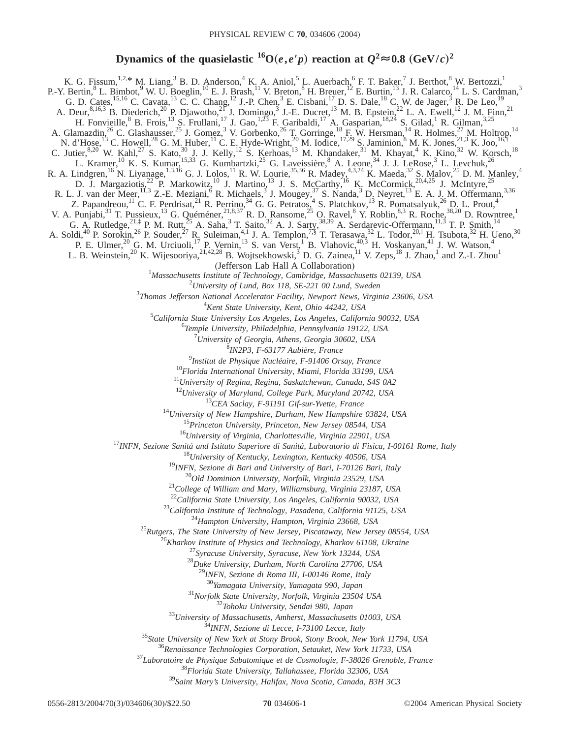# **Dynamics of the quasielastic**  ${}^{16}O(e,e'p)$  reaction at  $Q^2 \approx 0.8$  (GeV/*c*)<sup>2</sup>

K. G. Fissum,<sup>1,2,\*</sup> M. Liang,<sup>3</sup> B. D. Anderson,<sup>4</sup> K. A. Aniol,<sup>5</sup> L. Auerbach,<sup>6</sup> F. T. Baker,<sup>7</sup> J. Berthot,<sup>8</sup> W. Bertozzi,<sup>1</sup> P.-Y. Bertin, <sup>8</sup> L. Bimbot, <sup>9</sup> W. U. Boeglin, <sup>10</sup> E. J. Brash, <sup>11</sup> V. Breton, <sup>8</sup> H. Breuer, <sup>12</sup> E. Burtin, <sup>13</sup> J. R. Calarco, <sup>14</sup> L. S. Cardman, <sup>3</sup> G. D. Cates,<sup>15,16</sup> C. Cavata,<sup>13</sup> C. C. Chang,<sup>12</sup> J.-P. Chen,<sup>3</sup> E. Cisbani,<sup>17</sup> D. S. Dale,<sup>18</sup> C. W. de Jager,<sup>3</sup> R. De Leo,<sup>19</sup> A. Deur,  $8,16,3$  B. Diederich,  $2^0$  P. Djawotho,  $2^1$  J. Domingo,  $3$  J.-E. Ducret,  $1^3$  M. B. Epstein,  $2^2$  L. A. Ewell,  $1^2$  J. M. Finn,  $2^1$ H. Fonvieille, <sup>8</sup> B. Frois, <sup>13</sup> S. Frullani, <sup>17</sup> J. Gao, <sup>1,23</sup> F. Garibaldi, <sup>17</sup> A. Gasparian, <sup>18,24</sup> S. Gilad, <sup>1</sup> R. Gilman, <sup>3,25</sup> A. Glamazdin,<sup>26</sup> C. Glashausser,<sup>25</sup> J. Gomez,<sup>3</sup> V. Gorbenko,<sup>26</sup> T. Gorringe,<sup>18</sup> F. W. Hersman,<sup>14</sup> R. Holmes,<sup>27</sup> M. Holtrop,<sup>14</sup> N. d'Hose,<sup>13</sup> C. Howell,<sup>28</sup> G. M. Huber,<sup>11</sup> C. E. Hyde-Wright,<sup>20</sup> M. Iodice,<sup>17,29</sup> S. Jaminion,<sup>8</sup> M. K. Jones,<sup>21,3</sup> K. Joo,<sup>16,†</sup> C. Jutier,  $8,20$  W. Kahl,  $27$  S. Kato,  $30$  J. J. Kelly,  $12$  S. Kerhoas,  $13$  M. Khandaker,  $31$  M. Khayat,  $4$  K. Kino,  $32$  W. Korsch,  $18$ L. Kramer,<sup>10</sup> K. S. Kumar,<sup>15,33</sup> G. Kumbartzki,<sup>25</sup> G. Laveissière, <sup>8</sup> A. Leone,<sup>34</sup> J. J. LeRose,<sup>3</sup> L. Levchuk,<sup>26</sup> R. A. Lindgren,<sup>16</sup> N. Liyanage,<sup>1,3,16</sup> G. J. Lolos,<sup>11</sup> R. W. Lourie,<sup>35,36</sup> R. Madey,<sup>4,3,24</sup> K. Maeda,<sup>32</sup> S. Malov,<sup>25</sup> D. M. Manley,<sup>4</sup> D. J. Margaziotis,<sup>22</sup> P. Markowitz,<sup>10</sup> J. Martino,<sup>13</sup> J. S. McCarthy,<sup>16</sup> K. McCormick,<sup>20,4,25</sup> J. McIntyre,<sup>25</sup> R. L. J. van der Meer, <sup>11,3</sup> Z.-E. Meziani, <sup>6</sup> R. Michaels, <sup>3</sup> J. Mougey, <sup>37</sup> S. Nanda, <sup>3</sup> D. Neyret, <sup>13</sup> E. A. J. M. Offermann, <sup>3,36</sup> Z. Papandreou,<sup>11</sup> C. F. Perdrisat,<sup>21</sup> R. Perrino,<sup>34</sup> G. G. Petratos,<sup>4</sup> S. Platchkov,<sup>13</sup> R. Pomatsalyuk,<sup>26</sup> D. L. Prout,<sup>4</sup> V. A. Punjabi,<sup>31</sup> T. Pussieux,<sup>13</sup> G. Quéméner,<sup>21,8,37</sup> R. D. Ransome,<sup>25</sup> O. Ravel,<sup>8</sup> Y. Roblin,<sup>8,3</sup> R. Roche,<sup>38,20</sup> D. Rowntree,<sup>1</sup> G. A. Rutledge,  $^{21, \ddag}$  P. M. Rutt,  $^{25}$  A. Saha,  $^3$  T. Saito,  $^{32}$  A. J. Sarty,  $^{38,39}$  A. Serdarevic-Offermann,  $^{11, \ddag}$  T. P. Smith,  $^{14}$ A. Soldi,<sup>40</sup> P. Sorokin,<sup>26</sup> P. Souder,<sup>27</sup> R. Suleiman,<sup>4,1</sup> J. A. Templon,<sup>7,§</sup> T. Terasawa,<sup>32</sup> L. Todor,<sup>20,||</sup> H. Tsubota,<sup>32</sup> H. Ueno,<sup>30</sup> P. E. Ulmer,<sup>20</sup> G. M. Urciuoli,<sup>17</sup> P. Vernin,<sup>13</sup> S. van Verst,<sup>1</sup> B. Vlahovic,<sup>40,3</sup> H. Voskanyan,<sup>41</sup> J. W. Watson,<sup>4</sup> L. B. Weinstein,<sup>20</sup> K. Wijesooriya,<sup>21,42,28</sup> B. Wojtsekhowski,<sup>3</sup> D. G. Zainea,<sup>11</sup> V. Zeps,<sup>18</sup> J. Zhao,<sup>1</sup> and Z.-L Zhou<sup>1</sup> (Jefferson Lab Hall A Collaboration)<br><sup>1</sup>Massachusetts Institute of Technology Cambridge, Massac *Massachusetts Institute of Technology, Cambridge, Massachusetts 02139, USA University of Lund, Box 118, SE-221 00 Lund, Sweden Thomas Jefferson National Accelerator Facility, Newport News, Virginia 23606, USA Kent State University, Kent, Ohio 44242, USA California State University Los Angeles, Los Angeles, California 90032, USA Temple University, Philadelphia, Pennsylvania 19122, USA University of Georgia, Athens, Georgia 30602, USA IN2P3, F-63177 Aubière, France Institut de Physique Nucléaire, F-91406 Orsay, France Florida International University, Miami, Florida 33199, USA University of Regina, Regina, Saskatchewan, Canada, S4S 0A2 University of Maryland, College Park, Maryland 20742, USA CEA Saclay, F-91191 Gif-sur-Yvette, France University of New Hampshire, Durham, New Hampshire 03824, USA Princeton University, Princeton, New Jersey 08544, USA University of Virginia, Charlottesville, Virginia 22901, USA INFN, Sezione Sanitá and Istituto Superiore di Sanitá, Laboratorio di Fisica, I-00161 Rome, Italy University of Kentucky, Lexington, Kentucky 40506, USA INFN, Sezione di Bari and University of Bari, I-70126 Bari, Italy Old Dominion University, Norfolk, Virginia 23529, USA College of William and Mary, Williamsburg, Virginia 23187, USA California State University, Los Angeles, California 90032, USA California Institute of Technology, Pasadena, California 91125, USA Hampton University, Hampton, Virginia 23668, USA Rutgers, The State University of New Jersey, Piscataway, New Jersey 08554, USA Kharkov Institute of Physics and Technology, Kharkov 61108, Ukraine Syracuse University, Syracuse, New York 13244, USA Duke University, Durham, North Carolina 27706, USA INFN, Sezione di Roma III, I-00146 Rome, Italy Yamagata University, Yamagata 990, Japan Norfolk State University, Norfolk, Virginia 23504 USA Tohoku University, Sendai 980, Japan University of Massachusetts, Amherst, Massachusetts 01003, USA INFN, Sezione di Lecce, I-73100 Lecce, Italy State University of New York at Stony Brook, Stony Brook, New York 11794, USA Renaissance Technologies Corporation, Setauket, New York 11733, USA Laboratoire de Physique Subatomique et de Cosmologie, F-38026 Grenoble, France Florida State University, Tallahassee, Florida 32306, USA Saint Mary's University, Halifax, Nova Scotia, Canada, B3H 3C3*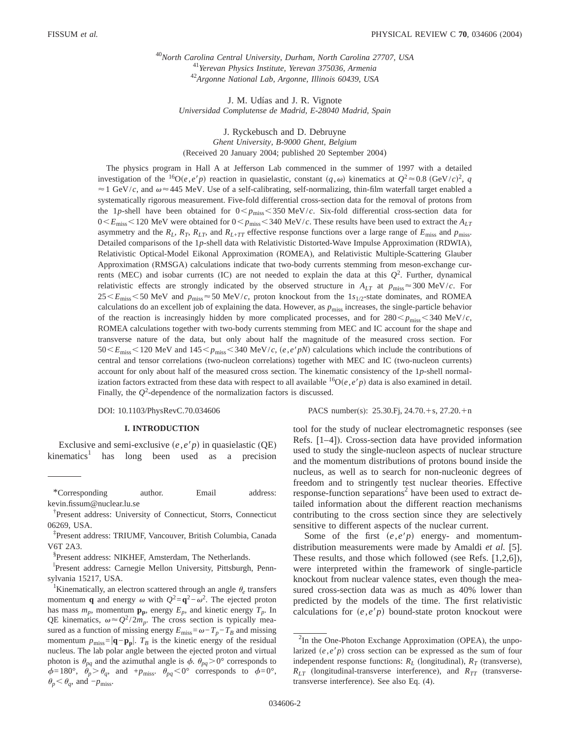<sup>40</sup>*North Carolina Central University, Durham, North Carolina 27707, USA* <sup>41</sup>*Yerevan Physics Institute, Yerevan 375036, Armenia* <sup>42</sup>*Argonne National Lab, Argonne, Illinois 60439, USA*

J. M. Udías and J. R. Vignote *Universidad Complutense de Madrid, E-28040 Madrid, Spain*

J. Ryckebusch and D. Debruyne *Ghent University, B-9000 Ghent, Belgium* (Received 20 January 2004; published 20 September 2004)

The physics program in Hall A at Jefferson Lab commenced in the summer of 1997 with a detailed investigation of the <sup>16</sup>O(*e*,*e'p*) reaction in quasielastic, constant  $(q,\omega)$  kinematics at  $Q^2 \approx 0.8$  (GeV/*c*)<sup>2</sup>, *q*  $\approx$  1 GeV/*c*, and  $\omega$  $\approx$  445 MeV. Use of a self-calibrating, self-normalizing, thin-film waterfall target enabled a systematically rigorous measurement. Five-fold differential cross-section data for the removal of protons from the 1*p*-shell have been obtained for  $0 < p_{\text{miss}} < 350 \text{ MeV}/c$ . Six-fold differential cross-section data for  $0 \le E_{\text{miss}} \le 120$  MeV were obtained for  $0 \le p_{\text{miss}} \le 340$  MeV/*c*. These results have been used to extract the  $A_{LT}$ asymmetry and the  $R_L$ ,  $R_T$ ,  $R_{LT}$ , and  $R_{L+TT}$  effective response functions over a large range of  $E_{\text{miss}}$  and  $p_{\text{miss}}$ . Detailed comparisons of the 1*p*-shell data with Relativistic Distorted-Wave Impulse Approximation (RDWIA), Relativistic Optical-Model Eikonal Approximation (ROMEA), and Relativistic Multiple-Scattering Glauber Approximation (RMSGA) calculations indicate that two-body currents stemming from meson-exchange currents (MEC) and isobar currents (IC) are not needed to explain the data at this  $Q<sup>2</sup>$ . Further, dynamical relativistic effects are strongly indicated by the observed structure in  $A_{LT}$  at  $p_{\text{miss}} \approx 300 \text{ MeV}/c$ . For 25 < *E*<sub>miss</sub> < 50 MeV and *p*<sub>miss</sub> ≈ 50 MeV/*c*, proton knockout from the 1<sub>*s*1/2</sub>-state dominates, and ROMEA</sub> calculations do an excellent job of explaining the data. However, as *p*miss increases, the single-particle behavior of the reaction is increasingly hidden by more complicated processes, and for  $280 < p_{\text{miss}} < 340 \text{ MeV}/c$ , ROMEA calculations together with two-body currents stemming from MEC and IC account for the shape and transverse nature of the data, but only about half the magnitude of the measured cross section. For  $50 \le E_{\text{miss}} \le 120$  MeV and  $145 \le p_{\text{miss}} \le 340$  MeV/*c*, (*e*, *e*'*pN*) calculations which include the contributions of central and tensor correlations (two-nucleon correlations) together with MEC and IC (two-nucleon currents) account for only about half of the measured cross section. The kinematic consistency of the 1*p*-shell normalization factors extracted from these data with respect to all available  ${}^{16}O(e,e'p)$  data is also examined in detail. Finally, the  $Q^2$ -dependence of the normalization factors is discussed.

DOI: 10.1103/PhysRevC.70.034606 PACS number(s): 25.30.Fj, 24.70.+s, 27.20.+n

### **I. INTRODUCTION**

Exclusive and semi-exclusive  $(e, e/p)$  in quasielastic (QE)  $kinematics<sup>1</sup>$  has long been used as a precision tool for the study of nuclear electromagnetic responses (see Refs. [1–4]). Cross-section data have provided information used to study the single-nucleon aspects of nuclear structure and the momentum distributions of protons bound inside the nucleus, as well as to search for non-nucleonic degrees of freedom and to stringently test nuclear theories. Effective response-function separations<sup>2</sup> have been used to extract detailed information about the different reaction mechanisms contributing to the cross section since they are selectively sensitive to different aspects of the nuclear current.

Some of the first  $(e,e'p)$  energy- and momentumdistribution measurements were made by Amaldi *et al.* [5]. These results, and those which followed (see Refs. [1,2,6]), were interpreted within the framework of single-particle knockout from nuclear valence states, even though the measured cross-section data was as much as 40% lower than predicted by the models of the time. The first relativistic calculations for  $(e, e'p)$  bound-state proton knockout were

<sup>\*</sup>Corresponding author. Email address: kevin.fissum@nuclear.lu.se

<sup>†</sup> Present address: University of Connecticut, Storrs, Connecticut 06269, USA.

<sup>‡</sup> Present address: TRIUMF, Vancouver, British Columbia, Canada V6T 2A3.

<sup>§</sup> Present address: NIKHEF, Amsterdam, The Netherlands.

i Present address: Carnegie Mellon University, Pittsburgh, Pennsylvania 15217, USA.

<sup>&</sup>lt;sup>1</sup>Kinematically, an electron scattered through an angle  $\theta_e$  transfers momentum **q** and energy  $\omega$  with  $Q^2 = \mathbf{q}^2 - \omega^2$ . The ejected proton has mass  $m_p$ , momentum  $\mathbf{p}_p$ , energy  $E_p$ , and kinetic energy  $T_p$ . In QE kinematics,  $\omega \approx Q^2/2m_p$ . The cross section is typically measured as a function of missing energy  $E_{\text{miss}} = \omega - T_p - T_B$  and missing momentum  $p_{\text{miss}} = |\mathbf{q} - \mathbf{p_p}|$ .  $T_B$  is the kinetic energy of the residual nucleus. The lab polar angle between the ejected proton and virtual photon is  $\theta_{pq}$  and the azimuthal angle is  $\phi$ .  $\theta_{pq} > 0^{\circ}$  corresponds to  $\phi=180^\circ$ ,  $\dot{\theta}_p > \theta_q$ , and  $+p_{\text{miss}}$ .  $\theta_{pq} < 0^\circ$  corresponds to  $\phi=0^\circ$ ,  $\theta_p \leq \theta_q$ , and −*p*<sub>miss</sub>.

 $2$ In the One-Photon Exchange Approximation (OPEA), the unpolarized  $(e, e'p)$  cross section can be expressed as the sum of four independent response functions:  $R_L$  (longitudinal),  $R_T$  (transverse),  $R_{LT}$  (longitudinal-transverse interference), and  $R_{TT}$  (transversetransverse interference). See also Eq. (4).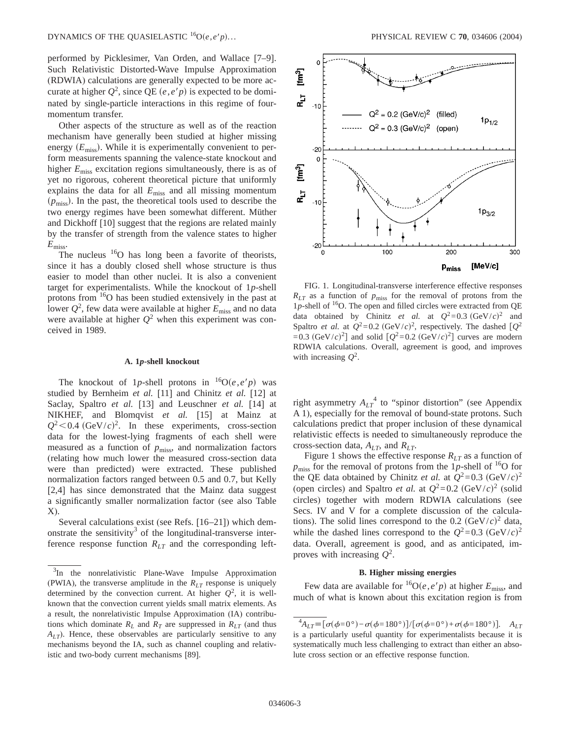performed by Picklesimer, Van Orden, and Wallace [7–9]. Such Relativistic Distorted-Wave Impulse Approximation (RDWIA) calculations are generally expected to be more accurate at higher  $Q^2$ , since QE  $(e,e'p)$  is expected to be dominated by single-particle interactions in this regime of fourmomentum transfer.

Other aspects of the structure as well as of the reaction mechanism have generally been studied at higher missing energy ( $E_{\text{miss}}$ ). While it is experimentally convenient to perform measurements spanning the valence-state knockout and higher  $E_{\text{miss}}$  excitation regions simultaneously, there is as of yet no rigorous, coherent theoretical picture that uniformly explains the data for all *E*miss and all missing momentum  $(p_{\text{miss}})$ . In the past, the theoretical tools used to describe the two energy regimes have been somewhat different. Müther and Dickhoff [10] suggest that the regions are related mainly by the transfer of strength from the valence states to higher *E*miss.

The nucleus  $16$ O has long been a favorite of theorists, since it has a doubly closed shell whose structure is thus easier to model than other nuclei. It is also a convenient target for experimentalists. While the knockout of 1*p*-shell protons from <sup>16</sup>O has been studied extensively in the past at lower  $Q^2$ , few data were available at higher  $E_{\text{miss}}$  and no data were available at higher  $Q^2$  when this experiment was conceived in 1989.

### **A. 1***p***-shell knockout**

The knockout of 1*p*-shell protons in  $^{16}O(e,e^{\prime}p)$  was studied by Bernheim *et al.* [11] and Chinitz *et al.* [12] at Saclay, Spaltro *et al.* [13] and Leuschner *et al.* [14] at NIKHEF, and Blomqvist *et al.* [15] at Mainz at  $Q^2$  < 0.4 (GeV/*c*)<sup>2</sup>. In these experiments, cross-section data for the lowest-lying fragments of each shell were measured as a function of  $p_{\text{miss}}$ , and normalization factors (relating how much lower the measured cross-section data were than predicted) were extracted. These published normalization factors ranged between 0.5 and 0.7, but Kelly [2,4] has since demonstrated that the Mainz data suggest a significantly smaller normalization factor (see also Table X).

Several calculations exist (see Refs. [16–21]) which demonstrate the sensitivity<sup>3</sup> of the longitudinal-transverse interference response function  $R<sub>LT</sub>$  and the corresponding left-



FIG. 1. Longitudinal-transverse interference effective responses  $R_{LT}$  as a function of  $p_{miss}$  for the removal of protons from the 1p-shell of  $16$ O. The open and filled circles were extracted from QE data obtained by Chinitz *et al.* at  $Q^2 = 0.3 \text{ (GeV/}c)^2$  and Spaltro *et al.* at  $Q^2=0.2$  (GeV/*c*)<sup>2</sup>, respectively. The dashed  $[Q^2]$  $=0.3$  (GeV/*c*)<sup>2</sup>] and solid  $[Q^2=0.2$  (GeV/*c*)<sup>2</sup>] curves are modern RDWIA calculations. Overall, agreement is good, and improves with increasing *Q*2.

right asymmetry  $A_{LT}^4$  to "spinor distortion" (see Appendix A 1), especially for the removal of bound-state protons. Such calculations predict that proper inclusion of these dynamical relativistic effects is needed to simultaneously reproduce the cross-section data, *ALT*, and *RLT*.

Figure 1 shows the effective response *RLT* as a function of  $p_{\text{miss}}$  for the removal of protons from the 1p-shell of <sup>16</sup>O for the QE data obtained by Chinitz *et al.* at  $Q^2 = 0.3$  (GeV/*c*)<sup>2</sup> (open circles) and Spaltro *et al.* at  $Q^2 = 0.2$  (GeV/*c*)<sup>2</sup> (solid circles) together with modern RDWIA calculations (see Secs. IV and V for a complete discussion of the calculations). The solid lines correspond to the  $0.2 \text{ (GeV/}c)^2$  data, while the dashed lines correspond to the  $Q^2 = 0.3$  (GeV/*c*)<sup>2</sup> data. Overall, agreement is good, and as anticipated, improves with increasing *Q*<sup>2</sup> .

# **B. Higher missing energies**

Few data are available for  ${}^{16}O(e,e'p)$  at higher  $E_{\text{miss}}$ , and much of what is known about this excitation region is from

 $3$ In the nonrelativistic Plane-Wave Impulse Approximation (PWIA), the transverse amplitude in the  $R_{LT}$  response is uniquely determined by the convection current. At higher  $Q^2$ , it is wellknown that the convection current yields small matrix elements. As a result, the nonrelativistic Impulse Approximation (IA) contributions which dominate  $R_L$  and  $R_T$  are suppressed in  $R_{LT}$  (and thus *ALT*). Hence, these observables are particularly sensitive to any mechanisms beyond the IA, such as channel coupling and relativistic and two-body current mechanisms [89].

 ${}^{4}A_{LT}$ ≡[ $\sigma$ ( $\phi$ =0°) –  $\sigma$ ( $\phi$ =180°)]/[ $\sigma$ ( $\phi$ =0°) +  $\sigma$ ( $\phi$ =180°)]. *A*<sub>LT</sub> is a particularly useful quantity for experimentalists because it is systematically much less challenging to extract than either an absolute cross section or an effective response function.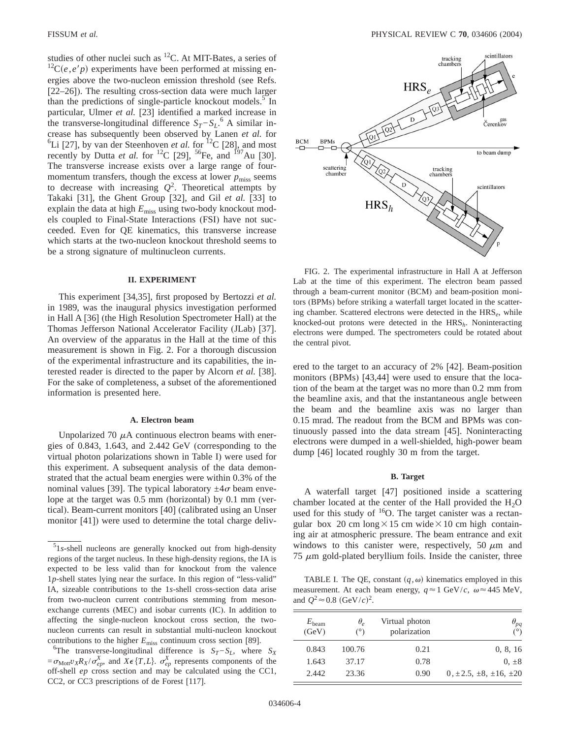studies of other nuclei such as  ${}^{12}C$ . At MIT-Bates, a series of  ${}^{12}C(e, e'p)$  experiments have been performed at missing energies above the two-nucleon emission threshold (see Refs. [22–26]). The resulting cross-section data were much larger than the predictions of single-particle knockout models. $5$  In particular, Ulmer *et al.* [23] identified a marked increase in the transverse-longitudinal difference  $S_T - S_L$ <sup>6</sup> A similar increase has subsequently been observed by Lanen *et al.* for <sup>6</sup>Li [27], by van der Steenhoven *et al.* for <sup>12</sup>C [28], and most recently by Dutta *et al.* for <sup>12</sup>C [29], <sup>56</sup>Fe, and <sup>197</sup>Au [30]. The transverse increase exists over a large range of fourmomentum transfers, though the excess at lower  $p_{\text{miss}}$  seems to decrease with increasing  $Q^2$ . Theoretical attempts by Takaki [31], the Ghent Group [32], and Gil *et al.* [33] to explain the data at high  $E_{\text{miss}}$  using two-body knockout models coupled to Final-State Interactions (FSI) have not succeeded. Even for QE kinematics, this transverse increase which starts at the two-nucleon knockout threshold seems to be a strong signature of multinucleon currents.

### **II. EXPERIMENT**

This experiment [34,35], first proposed by Bertozzi *et al.* in 1989, was the inaugural physics investigation performed in Hall A [36] (the High Resolution Spectrometer Hall) at the Thomas Jefferson National Accelerator Facility (JLab) [37]. An overview of the apparatus in the Hall at the time of this measurement is shown in Fig. 2. For a thorough discussion of the experimental infrastructure and its capabilities, the interested reader is directed to the paper by Alcorn *et al.* [38]. For the sake of completeness, a subset of the aforementioned information is presented here.

### **A. Electron beam**

Unpolarized 70  $\mu$ A continuous electron beams with energies of 0.843, 1.643, and 2.442 GeV (corresponding to the virtual photon polarizations shown in Table I) were used for this experiment. A subsequent analysis of the data demonstrated that the actual beam energies were within 0.3% of the nominal values [39]. The typical laboratory  $\pm 4\sigma$  beam envelope at the target was 0.5 mm (horizontal) by 0.1 mm (vertical). Beam-current monitors [40] (calibrated using an Unser monitor [41]) were used to determine the total charge deliv-



FIG. 2. The experimental infrastructure in Hall A at Jefferson Lab at the time of this experiment. The electron beam passed through a beam-current monitor (BCM) and beam-position monitors (BPMs) before striking a waterfall target located in the scattering chamber. Scattered electrons were detected in the HRS*e*, while knocked-out protons were detected in the HRS*h*. Noninteracting electrons were dumped. The spectrometers could be rotated about the central pivot.

ered to the target to an accuracy of 2% [42]. Beam-position monitors (BPMs) [43,44] were used to ensure that the location of the beam at the target was no more than 0.2 mm from the beamline axis, and that the instantaneous angle between the beam and the beamline axis was no larger than 0.15 mrad. The readout from the BCM and BPMs was continuously passed into the data stream [45]. Noninteracting electrons were dumped in a well-shielded, high-power beam dump [46] located roughly 30 m from the target.

### **B. Target**

A waterfall target [47] positioned inside a scattering chamber located at the center of the Hall provided the  $H_2O$ used for this study of  $16$ O. The target canister was a rectangular box 20 cm long $\times$ 15 cm wide $\times$ 10 cm high containing air at atmospheric pressure. The beam entrance and exit windows to this canister were, respectively, 50  $\mu$ m and  $75 \mu m$  gold-plated beryllium foils. Inside the canister, three

TABLE I. The QE, constant  $(q,\omega)$  kinematics employed in this measurement. At each beam energy,  $q \approx 1$  GeV/*c*,  $\omega \approx 445$  MeV, and  $Q^2 \approx 0.8 \text{ (GeV/}c)^2$ .

| $\theta_{pq}$                       | Virtual photon<br>polarization | $\theta_{\scriptscriptstyle{\rho}}$<br>$(^\circ)$ | $E_{\text{beam}}$<br>(GeV) |
|-------------------------------------|--------------------------------|---------------------------------------------------|----------------------------|
| 0, 8, 16                            | 0.21                           | 100.76                                            | 0.843                      |
| $0, \pm 8$                          | 0.78                           | 37.17                                             | 1.643                      |
| $0, \pm 2.5, \pm 8, \pm 16, \pm 20$ | 0.90                           | 23.36                                             | 2.442                      |

<sup>5</sup> 1*s*-shell nucleons are generally knocked out from high-density regions of the target nucleus. In these high-density regions, the IA is expected to be less valid than for knockout from the valence 1*p*-shell states lying near the surface. In this region of "less-valid" IA, sizeable contributions to the 1*s*-shell cross-section data arise from two-nucleon current contributions stemming from mesonexchange currents (MEC) and isobar currents (IC). In addition to affecting the single-nucleon knockout cross section, the twonucleon currents can result in substantial multi-nucleon knockout contributions to the higher  $E_{\text{miss}}$  continuum cross section [89].

 ${}^{6}$ The transverse-longitudinal difference is  $S_T-S_L$ , where  $S_X$  $=\sigma_{\text{Mott}}v_X R_X/\sigma_{ep}^X$ , and  $X \in \{T, L\}$ .  $\sigma_{ep}^X$  represents components of the off-shell *ep* cross section and may be calculated using the CC1, CC2, or CC3 prescriptions of de Forest [117].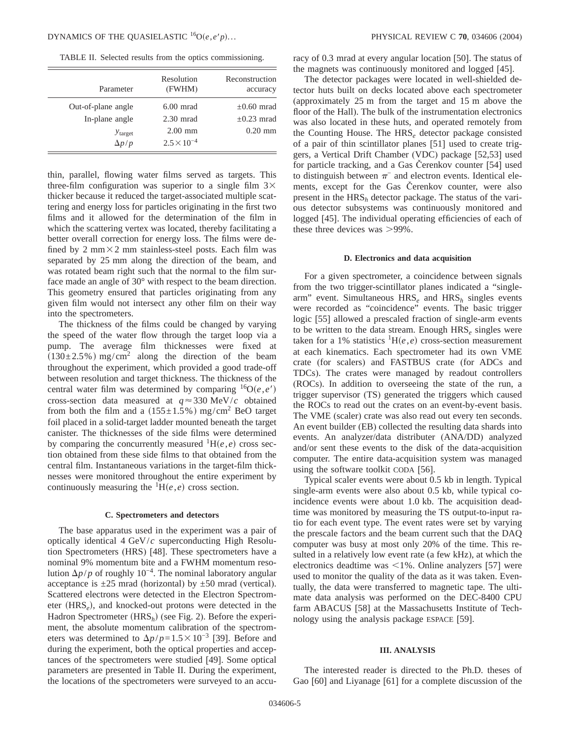TABLE II. Selected results from the optics commissioning.

| Parameter                            | Resolution<br>(FWHM)              | Reconstruction<br>accuracy      |
|--------------------------------------|-----------------------------------|---------------------------------|
| Out-of-plane angle<br>In-plane angle | $6.00$ mrad<br>$2.30$ mrad        | $\pm 0.60$ mrad<br>$+0.23$ mrad |
| $y_{\text{target}}$<br>$\Delta p/p$  | $2.00$ mm<br>$2.5 \times 10^{-4}$ | $0.20$ mm                       |

thin, parallel, flowing water films served as targets. This three-film configuration was superior to a single film  $3\times$ thicker because it reduced the target-associated multiple scattering and energy loss for particles originating in the first two films and it allowed for the determination of the film in which the scattering vertex was located, thereby facilitating a better overall correction for energy loss. The films were defined by 2 mm $\times$ 2 mm stainless-steel posts. Each film was separated by 25 mm along the direction of the beam, and was rotated beam right such that the normal to the film surface made an angle of 30° with respect to the beam direction. This geometry ensured that particles originating from any given film would not intersect any other film on their way into the spectrometers.

The thickness of the films could be changed by varying the speed of the water flow through the target loop via a pump. The average film thicknesses were fixed at  $(130\pm2.5\%)$  mg/cm<sup>2</sup> along the direction of the beam throughout the experiment, which provided a good trade-off between resolution and target thickness. The thickness of the central water film was determined by comparing  ${}^{16}O(e,e')$ cross-section data measured at  $q \approx 330 \text{ MeV}/c$  obtained from both the film and a  $(155\pm1.5\%)$  mg/cm<sup>2</sup> BeO target foil placed in a solid-target ladder mounted beneath the target canister. The thicknesses of the side films were determined by comparing the concurrently measured  ${}^{1}H(e,e)$  cross section obtained from these side films to that obtained from the central film. Instantaneous variations in the target-film thicknesses were monitored throughout the entire experiment by continuously measuring the  ${}^{1}H(e,e)$  cross section.

### **C. Spectrometers and detectors**

The base apparatus used in the experiment was a pair of optically identical 4 GeV/*c* superconducting High Resolution Spectrometers (HRS) [48]. These spectrometers have a nominal 9% momentum bite and a FWHM momentum resolution  $\Delta p/p$  of roughly 10<sup>−4</sup>. The nominal laboratory angular acceptance is  $\pm 25$  mrad (horizontal) by  $\pm 50$  mrad (vertical). Scattered electrons were detected in the Electron Spectrometer (HRS<sub>e</sub>), and knocked-out protons were detected in the Hadron Spectrometer (HRS<sub>h</sub>) (see Fig. 2). Before the experiment, the absolute momentum calibration of the spectrometers was determined to  $\Delta p/p=1.5\times10^{-3}$  [39]. Before and during the experiment, both the optical properties and acceptances of the spectrometers were studied [49]. Some optical parameters are presented in Table II. During the experiment, the locations of the spectrometers were surveyed to an accuracy of 0.3 mrad at every angular location [50]. The status of the magnets was continuously monitored and logged [45].

The detector packages were located in well-shielded detector huts built on decks located above each spectrometer (approximately 25 m from the target and 15 m above the floor of the Hall). The bulk of the instrumentation electronics was also located in these huts, and operated remotely from the Counting House. The HRS*<sup>e</sup>* detector package consisted of a pair of thin scintillator planes [51] used to create triggers, a Vertical Drift Chamber (VDC) package [52,53] used for particle tracking, and a Gas Čerenkov counter [54] used to distinguish between  $\pi^-$  and electron events. Identical elements, except for the Gas Čerenkov counter, were also present in the HRS*<sup>h</sup>* detector package. The status of the various detector subsystems was continuously monitored and logged [45]. The individual operating efficiencies of each of these three devices was  $>99\%$ .

### **D. Electronics and data acquisition**

For a given spectrometer, a coincidence between signals from the two trigger-scintillator planes indicated a "singlearm" event. Simultaneous HRS<sub>e</sub> and HRS<sub>h</sub> singles events were recorded as "coincidence" events. The basic trigger logic [55] allowed a prescaled fraction of single-arm events to be written to the data stream. Enough HRS<sub>e</sub> singles were taken for a 1% statistics  ${}^{1}H(e,e)$  cross-section measurement at each kinematics. Each spectrometer had its own VME crate (for scalers) and FASTBUS crate (for ADCs and TDCs). The crates were managed by readout controllers (ROCs). In addition to overseeing the state of the run, a trigger supervisor (TS) generated the triggers which caused the ROCs to read out the crates on an event-by-event basis. The VME (scaler) crate was also read out every ten seconds. An event builder (EB) collected the resulting data shards into events. An analyzer/data distributer (ANA/DD) analyzed and/or sent these events to the disk of the data-acquisition computer. The entire data-acquisition system was managed using the software toolkit CODA [56].

Typical scaler events were about 0.5 kb in length. Typical single-arm events were also about 0.5 kb, while typical coincidence events were about 1.0 kb. The acquisition deadtime was monitored by measuring the TS output-to-input ratio for each event type. The event rates were set by varying the prescale factors and the beam current such that the DAQ computer was busy at most only 20% of the time. This resulted in a relatively low event rate (a few kHz), at which the electronics deadtime was  $\leq 1\%$ . Online analyzers [57] were used to monitor the quality of the data as it was taken. Eventually, the data were transferred to magnetic tape. The ultimate data analysis was performed on the DEC-8400 CPU farm ABACUS [58] at the Massachusetts Institute of Technology using the analysis package ESPACE [59].

### **III. ANALYSIS**

The interested reader is directed to the Ph.D. theses of Gao [60] and Liyanage [61] for a complete discussion of the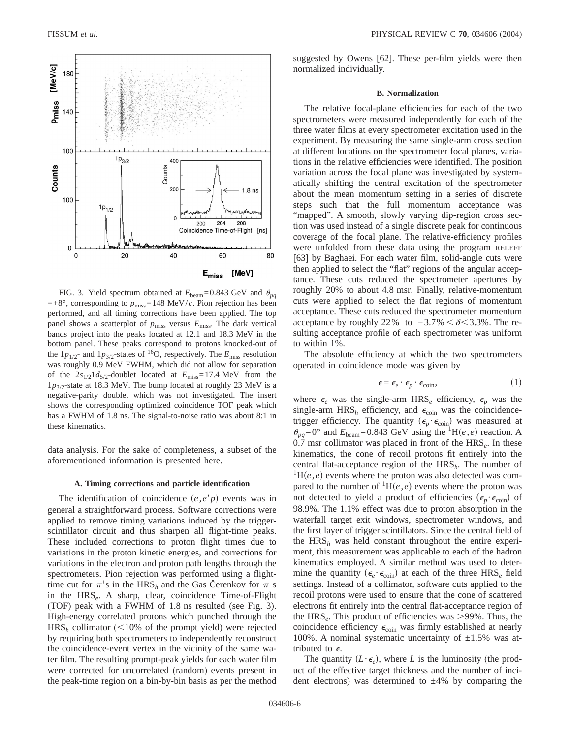

FIG. 3. Yield spectrum obtained at  $E_{\text{beam}}$ =0.843 GeV and  $\theta_{pq}$  $=+8^{\circ}$ , corresponding to  $p_{\text{miss}}=148$  MeV/*c*. Pion rejection has been performed, and all timing corrections have been applied. The top panel shows a scatterplot of  $p_{\text{miss}}$  versus  $E_{\text{miss}}$ . The dark vertical bands project into the peaks located at 12.1 and 18.3 MeV in the bottom panel. These peaks correspond to protons knocked-out of the  $1p_{1/2}$ - and  $1p_{3/2}$ -states of <sup>16</sup>O, respectively. The  $E_{\text{miss}}$  resolution was roughly 0.9 MeV FWHM, which did not allow for separation of the  $2s_{1/2}1d_{5/2}$ -doublet located at  $E_{\text{miss}}=17.4 \text{ MeV}$  from the 1*p*3/2-state at 18.3 MeV. The bump located at roughly 23 MeV is a negative-parity doublet which was not investigated. The insert shows the corresponding optimized coincidence TOF peak which has a FWHM of 1.8 ns. The signal-to-noise ratio was about 8:1 in these kinematics.

data analysis. For the sake of completeness, a subset of the aforementioned information is presented here.

#### **A. Timing corrections and particle identification**

The identification of coincidence  $(e, e<sup>'</sup>p)$  events was in general a straightforward process. Software corrections were applied to remove timing variations induced by the triggerscintillator circuit and thus sharpen all flight-time peaks. These included corrections to proton flight times due to variations in the proton kinetic energies, and corrections for variations in the electron and proton path lengths through the spectrometers. Pion rejection was performed using a flighttime cut for  $\pi$ <sup>+</sup>s in the HRS<sub>h</sub> and the Gas Čerenkov for  $\pi$ <sup>−</sup>s in the HRS*e*. A sharp, clear, coincidence Time-of-Flight (TOF) peak with a FWHM of 1.8 ns resulted (see Fig. 3). High-energy correlated protons which punched through the  $HRS<sub>h</sub>$  collimator (<10% of the prompt yield) were rejected by requiring both spectrometers to independently reconstruct the coincidence-event vertex in the vicinity of the same water film. The resulting prompt-peak yields for each water film were corrected for uncorrelated (random) events present in the peak-time region on a bin-by-bin basis as per the method suggested by Owens [62]. These per-film yields were then normalized individually.

### **B. Normalization**

The relative focal-plane efficiencies for each of the two spectrometers were measured independently for each of the three water films at every spectrometer excitation used in the experiment. By measuring the same single-arm cross section at different locations on the spectrometer focal planes, variations in the relative efficiencies were identified. The position variation across the focal plane was investigated by systematically shifting the central excitation of the spectrometer about the mean momentum setting in a series of discrete steps such that the full momentum acceptance was "mapped". A smooth, slowly varying dip-region cross section was used instead of a single discrete peak for continuous coverage of the focal plane. The relative-efficiency profiles were unfolded from these data using the program RELEFF [63] by Baghaei. For each water film, solid-angle cuts were then applied to select the "flat" regions of the angular acceptance. These cuts reduced the spectrometer apertures by roughly 20% to about 4.8 msr. Finally, relative-momentum cuts were applied to select the flat regions of momentum acceptance. These cuts reduced the spectrometer momentum acceptance by roughly 22% to  $-3.7\% < \delta < 3.3\%$ . The resulting acceptance profile of each spectrometer was uniform to within 1%.

The absolute efficiency at which the two spectrometers operated in coincidence mode was given by

$$
\epsilon = \epsilon_e \cdot \epsilon_p \cdot \epsilon_{\text{coin}},\tag{1}
$$

where  $\epsilon_e$  was the single-arm HRS<sub>e</sub> efficiency,  $\epsilon_p$  was the single-arm  $HRS_h$  efficiency, and  $\epsilon_{\text{coin}}$  was the coincidencetrigger efficiency. The quantity  $(\epsilon_p \cdot \epsilon_{\text{coin}})$  was measured at  $\theta_{pq}$ =0° and  $E_{\text{beam}}$ =0.843 GeV using the <sup>1</sup>H(*e*,*e*) reaction. A 0.7 msr collimator was placed in front of the HRS<sub>e</sub>. In these kinematics, the cone of recoil protons fit entirely into the central flat-acceptance region of the HRS*h*. The number of  ${}^{1}$ H $(e, e)$  events where the proton was also detected was compared to the number of  ${}^{1}H(e,e)$  events where the proton was not detected to yield a product of efficiencies  $(\epsilon_n \cdot \epsilon_{\text{coin}})$  of 98.9%. The 1.1% effect was due to proton absorption in the waterfall target exit windows, spectrometer windows, and the first layer of trigger scintillators. Since the central field of the HRS*<sup>h</sup>* was held constant throughout the entire experiment, this measurement was applicable to each of the hadron kinematics employed. A similar method was used to determine the quantity  $(\epsilon_e \cdot \epsilon_{\text{coin}})$  at each of the three  $HRS_e$  field settings. Instead of a collimator, software cuts applied to the recoil protons were used to ensure that the cone of scattered electrons fit entirely into the central flat-acceptance region of the  $HRS<sub>e</sub>$ . This product of efficiencies was  $>99\%$ . Thus, the coincidence efficiency  $\epsilon_{\text{coin}}$  was firmly established at nearly 100%. A nominal systematic uncertainty of  $\pm 1.5$ % was attributed to  $\epsilon$ .

The quantity  $(L \cdot \epsilon_e)$ , where *L* is the luminosity (the product of the effective target thickness and the number of incident electrons) was determined to  $\pm 4\%$  by comparing the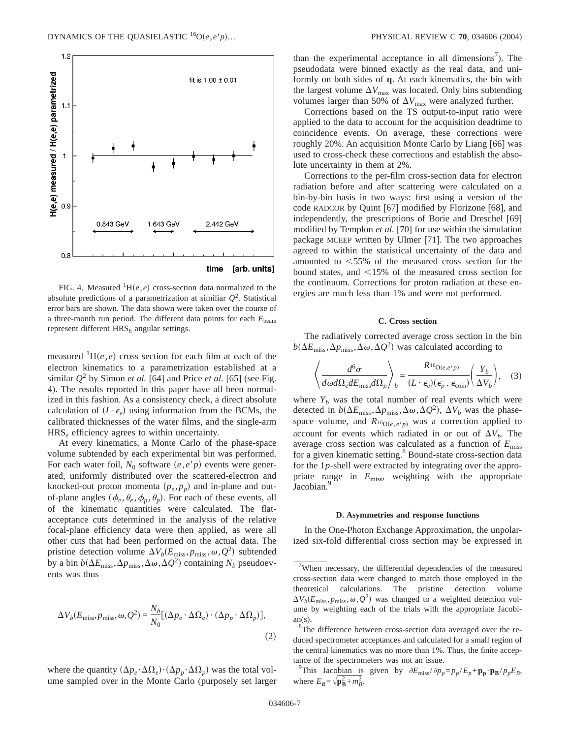

FIG. 4. Measured  ${}^{1}H(e,e)$  cross-section data normalized to the absolute predictions of a parametrization at similiar  $Q^2$ . Statistical error bars are shown. The data shown were taken over the course of a three-month run period. The different data points for each  $E_{\text{beam}}$ represent different HRS*<sup>h</sup>* angular settings.

measured  ${}^{1}H(e,e)$  cross section for each film at each of the electron kinematics to a parametrization established at a similar  $Q^2$  by Simon *et al.* [64] and Price *et al.* [65] (see Fig. 4). The results reported in this paper have all been normalized in this fashion. As a consistency check, a direct absolute calculation of  $(L \cdot \epsilon_e)$  using information from the BCMs, the calibrated thicknesses of the water films, and the single-arm HRS*<sup>e</sup>* efficiency agrees to within uncertainty.

At every kinematics, a Monte Carlo of the phase-space volume subtended by each experimental bin was performed. For each water foil,  $N_0$  software  $(e, e/p)$  events were generated, uniformly distributed over the scattered-electron and knocked-out proton momenta  $(p_e, p_p)$  and in-plane and outof-plane angles  $(\phi_e, \theta_e, \phi_p, \theta_p)$ . For each of these events, all of the kinematic quantities were calculated. The flatacceptance cuts determined in the analysis of the relative focal-plane efficiency data were then applied, as were all other cuts that had been performed on the actual data. The pristine detection volume  $\Delta V_b(E_{\text{miss}}, p_{\text{miss}}, \omega, Q^2)$  subtended by a bin  $b(\Delta E_{\text{miss}}, \Delta p_{\text{miss}}, \Delta \omega, \Delta Q^2)$  containing  $N_b$  pseudoevents was thus

$$
\Delta V_b(E_{\text{miss}}, p_{\text{miss}}, \omega, Q^2) = \frac{N_b}{N_0} [(\Delta p_e \cdot \Delta \Omega_e) \cdot (\Delta p_p \cdot \Delta \Omega_p)],
$$
\n(2)

where the quantity  $(\Delta p_e \cdot \Delta \Omega_e) \cdot (\Delta p_p \cdot \Delta \Omega_p)$  was the total volume sampled over in the Monte Carlo (purposely set larger

than the experimental acceptance in all dimensions<sup>7</sup>). The pseudodata were binned exactly as the real data, and uniformly on both sides of **q**. At each kinematics, the bin with the largest volume  $\Delta V_{\text{max}}$  was located. Only bins subtending volumes larger than 50% of  $\Delta V_{\text{max}}$  were analyzed further.

Corrections based on the TS output-to-input ratio were applied to the data to account for the acquisition deadtime to coincidence events. On average, these corrections were roughly 20%. An acquisition Monte Carlo by Liang [66] was used to cross-check these corrections and establish the absolute uncertainty in them at 2%.

Corrections to the per-film cross-section data for electron radiation before and after scattering were calculated on a bin-by-bin basis in two ways: first using a version of the code RADCOR by Quint [67] modified by Florizone [68], and independently, the prescriptions of Borie and Dreschel [69] modified by Templon *et al.* [70] for use within the simulation package MCEEP written by Ulmer [71]. The two approaches agreed to within the statistical uncertainty of the data and amounted to  $<$  55% of the measured cross section for the bound states, and  $\leq$ 15% of the measured cross section for the continuum. Corrections for proton radiation at these energies are much less than 1% and were not performed.

### **C. Cross section**

The radiatively corrected average cross section in the bin  $b(\Delta E_{\rm miss}, \Delta p_{\rm miss}, \Delta \omega, \Delta Q^2)$  was calculated according to

$$
\left\langle \frac{d^6 \sigma}{d\omega d\Omega_e dE_{\text{miss}} d\Omega_p} \right\rangle_b = \frac{R_{16Q(e,e'p)}}{(L \cdot \epsilon_e)(\epsilon_p \cdot \epsilon_{\text{coin}})} \left(\frac{Y_b}{\Delta V_b}\right), \quad (3)
$$

where  $Y_b$  was the total number of real events which were detected in  $b(\Delta E_{\text{miss}}, \Delta p_{\text{miss}}, \Delta \omega, \Delta Q^2)$ ,  $\Delta V_b$  was the phasespace volume, and  $R_{16O(e, e/b)}$  was a correction applied to account for events which radiated in or out of  $\Delta V_b$ . The average cross section was calculated as a function of *E*miss for a given kinematic setting.<sup>8</sup> Bound-state cross-section data for the 1*p*-shell were extracted by integrating over the appropriate range in *E*miss, weighting with the appropriate Jacobian.<sup>9</sup>

### **D. Asymmetries and response functions**

In the One-Photon Exchange Approximation, the unpolarized six-fold differential cross section may be expressed in

 $7$ When necessary, the differential dependencies of the measured cross-section data were changed to match those employed in the theoretical calculations. The pristine detection volume  $\Delta V_b(E_{\text{miss}}, p_{\text{miss}}, \omega, Q^2)$  was changed to a weighted detection volume by weighting each of the trials with the appropriate Jacobi $an(s)$ .

 ${}^{8}$ The difference between cross-section data averaged over the reduced spectrometer acceptances and calculated for a small region of the central kinematics was no more than 1%. Thus, the finite acceptance of the spectrometers was not an issue.

<sup>&</sup>lt;sup>9</sup>This Jacobian is given by  $\partial E_{\text{miss}}/\partial p_p = p_p / E_p + \mathbf{p_p} \cdot \mathbf{p_B} / p_p E_B$ , where  $E_B = \sqrt{\mathbf{p_B}^2 + m_B^2}$ .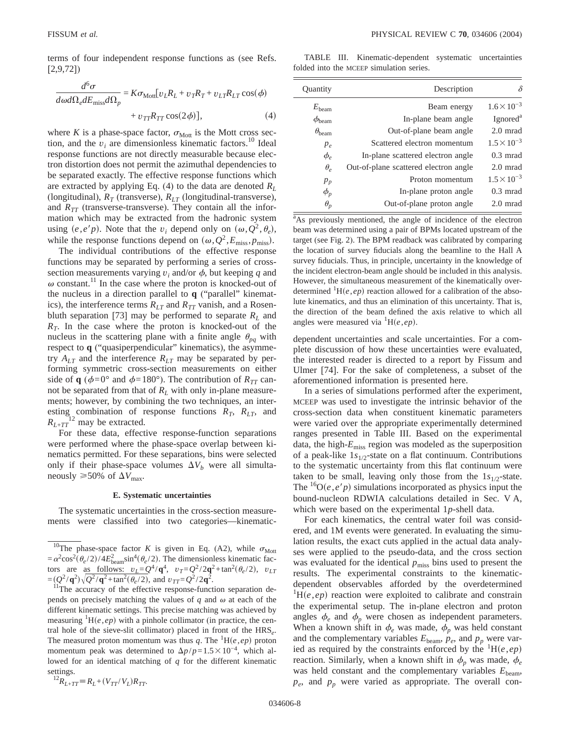terms of four independent response functions as (see Refs. [2,9,72])

$$
\frac{d^6\sigma}{d\omega d\Omega_e dE_{\text{miss}}d\Omega_p} = K\sigma_{\text{Mott}}[v_L R_L + v_T R_T + v_{LT} R_{LT} \cos(\phi) + v_{TT} R_{TT} \cos(2\phi)], \tag{4}
$$

where *K* is a phase-space factor,  $\sigma_{\text{Mott}}$  is the Mott cross section, and the  $v_i$  are dimensionless kinematic factors.<sup>10</sup> Ideal response functions are not directly measurable because electron distortion does not permit the azimuthal dependencies to be separated exactly. The effective response functions which are extracted by applying Eq. (4) to the data are denoted  $R_L$ (longitudinal),  $R_T$  (transverse),  $R_{LT}$  (longitudinal-transverse), and  $R_{TT}$  (transverse-transverse). They contain all the information which may be extracted from the hadronic system using  $(e, e'p)$ . Note that the *v<sub>i</sub>* depend only on  $(\omega, Q^2, \theta_e)$ , while the response functions depend on  $(\omega, Q^2, E_{\text{miss}}, p_{\text{miss}})$ .

The individual contributions of the effective response functions may be separated by performing a series of crosssection measurements varying  $v_i$  and/or  $\phi$ , but keeping q and  $\omega$  constant.<sup>11</sup> In the case where the proton is knocked-out of the nucleus in a direction parallel to **q** ("parallel" kinematics), the interference terms  $R_{LT}$  and  $R_{TT}$  vanish, and a Rosenbluth separation [73] may be performed to separate  $R_L$  and  $R<sub>T</sub>$ . In the case where the proton is knocked-out of the nucleus in the scattering plane with a finite angle  $\theta_{pq}$  with respect to **q** ("quasiperpendicular" kinematics), the asymmetry *ALT* and the interference *RLT* may be separated by performing symmetric cross-section measurements on either side of **q** ( $\phi = 0^\circ$  and  $\phi = 180^\circ$ ). The contribution of  $R_{TT}$  cannot be separated from that of  $R_L$  with only in-plane measurements; however, by combining the two techniques, an interesting combination of response functions  $R_T$ ,  $R_{LT}$ , and  $R_{L+TT}$ <sup>12</sup> may be extracted.

For these data, effective response-function separations were performed where the phase-space overlap between kinematics permitted. For these separations, bins were selected only if their phase-space volumes  $\Delta V_b$  were all simultaneously  $\geq 50\%$  of  $\Delta V_{\text{max}}$ .

### **E. Systematic uncertainties**

The systematic uncertainties in the cross-section measurements were classified into two categories—kinematic-

$$
^{12}R_{L+TT} = R_L + (V_{TT}/V_L)R_{TT}.
$$

TABLE III. Kinematic-dependent systematic uncertainties folded into the MCEEP simulation series.

| Quantity                          | Description                           | δ                    |
|-----------------------------------|---------------------------------------|----------------------|
| $E_{\text{beam}}$                 | Beam energy                           | $1.6 \times 10^{-3}$ |
| $\phi_{\text{beam}}$              | In-plane beam angle                   | Ignored <sup>a</sup> |
| $\theta_{\text{beam}}$            | Out-of-plane beam angle               | $2.0$ mrad           |
| $p_e$                             | Scattered electron momentum           | $1.5 \times 10^{-3}$ |
| $\phi_{\scriptscriptstyle{\rho}}$ | In-plane scattered electron angle     | $0.3 \text{ mrad}$   |
| $\theta_e$                        | Out-of-plane scattered electron angle | $2.0$ mrad           |
| $p_p$                             | Proton momentum                       | $1.5 \times 10^{-3}$ |
| $\phi_p$                          | In-plane proton angle                 | $0.3 \text{ mrad}$   |
| $\theta_p$                        | Out-of-plane proton angle             | $2.0$ mrad           |

<sup>a</sup>As previously mentioned, the angle of incidence of the electron beam was determined using a pair of BPMs located upstream of the target (see Fig. 2). The BPM readback was calibrated by comparing the location of survey fiducials along the beamline to the Hall A survey fiducials. Thus, in principle, uncertainty in the knowledge of the incident electron-beam angle should be included in this analysis. However, the simultaneous measurement of the kinematically overdetermined  ${}^{1}H(e,ep)$  reaction allowed for a calibration of the absolute kinematics, and thus an elimination of this uncertainty. That is, the direction of the beam defined the axis relative to which all angles were measured via  ${}^{1}H(e,ep)$ .

dependent uncertainties and scale uncertainties. For a complete discussion of how these uncertainties were evaluated, the interested reader is directed to a report by Fissum and Ulmer [74]. For the sake of completeness, a subset of the aforementioned information is presented here.

In a series of simulations performed after the experiment, MCEEP was used to investigate the intrinsic behavior of the cross-section data when constituent kinematic parameters were varied over the appropriate experimentally determined ranges presented in Table III. Based on the experimental data, the high-*E*miss region was modeled as the superposition of a peak-like 1*s*1/2-state on a flat continuum. Contributions to the systematic uncertainty from this flat continuum were taken to be small, leaving only those from the  $1s_{1/2}$ -state. The  ${}^{16}O(e, e'p)$  simulations incorporated as physics input the bound-nucleon RDWIA calculations detailed in Sec. V A, which were based on the experimental 1*p*-shell data.

For each kinematics, the central water foil was considered, and 1M events were generated. In evaluating the simulation results, the exact cuts applied in the actual data analyses were applied to the pseudo-data, and the cross section was evaluated for the identical  $p_{\text{miss}}$  bins used to present the results. The experimental constraints to the kinematicdependent observables afforded by the overdetermined  ${}^{1}$ H $(e, ep)$  reaction were exploited to calibrate and constrain the experimental setup. The in-plane electron and proton angles  $\phi_e$  and  $\phi_p$  were chosen as independent parameters. When a known shift in  $\phi_e$  was made,  $\phi_p$  was held constant and the complementary variables  $E_{\text{beam}}$ ,  $p_e$ , and  $p_p$  were varied as required by the constraints enforced by the  ${}^{1}H(e,ep)$ reaction. Similarly, when a known shift in  $\phi_p$  was made,  $\phi_e$ was held constant and the complementary variables  $E_{\text{beam}}$ ,  $p_e$ , and  $p_p$  were varied as appropriate. The overall con-

<sup>&</sup>lt;sup>10</sup>The phase-space factor *K* is given in Eq. (A2), while  $\sigma_{\text{Mott}}$  $= \alpha^2 \cos^2(\theta_e/2)/4E_{\text{beam}}^2 \sin^4(\theta_e/2)$ . The dimensionless kinematic factors are as follows:  $v_L = Q^4 / q^4$ ,  $v_T = Q^2 / 2q^2 + \tan^2(\theta_e/2)$ ,  $v_{LT} = (Q^2 / q^2) \sqrt{Q^2 / q^2 + \tan^2(\theta_e/2)}$ , and  $v_{TT} = Q^2 / 2q^2$ .

<sup>&</sup>lt;sup>11</sup>The accuracy of the effective response-function separation depends on precisely matching the values of  $q$  and  $\omega$  at each of the different kinematic settings. This precise matching was achieved by measuring  ${}^{1}H(e,ep)$  with a pinhole collimator (in practice, the central hole of the sieve-slit collimator) placed in front of the HRS*e*. The measured proton momentum was thus q. The  ${}^{1}H(e,ep)$  proton momentum peak was determined to  $\Delta p/p=1.5\times10^{-4}$ , which allowed for an identical matching of *q* for the different kinematic settings.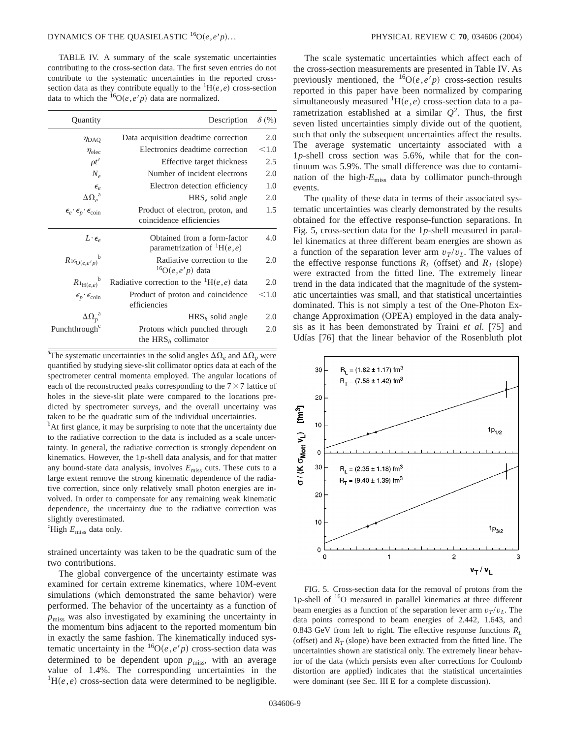TABLE IV. A summary of the scale systematic uncertainties contributing to the cross-section data. The first seven entries do not contribute to the systematic uncertainties in the reported crosssection data as they contribute equally to the  ${}^{1}H(e,e)$  cross-section data to which the  ${}^{16}O(e, e'p)$  data are normalized.

| Quantity                                                                 | Description                                                      | $\delta$ (%) |
|--------------------------------------------------------------------------|------------------------------------------------------------------|--------------|
| $\eta_{\text{DAQ}}$                                                      | Data acquisition deadtime correction                             | 2.0          |
| $\eta_{\text{elec}}$                                                     | Electronics deadtime correction                                  | < 1.0        |
| $\rho t'$                                                                | Effective target thickness                                       | 2.5          |
| $N_{\rho}$                                                               | Number of incident electrons                                     | 2.0          |
| $\epsilon_{e}$                                                           | Electron detection efficiency                                    | 1.0          |
| $\Delta\Omega_e^{-a}$                                                    | $HRS_{\rho}$ solid angle                                         | 2.0          |
| $\pmb{\epsilon}_e\cdot\pmb{\epsilon}_p\cdot\pmb{\epsilon}_\mathrm{coin}$ | Product of electron, proton, and<br>coincidence efficiencies     | 1.5          |
| $L \cdot \epsilon_{\rho}$                                                | Obtained from a form-factor<br>parametrization of ${}^{1}H(e,e)$ | 4.0          |
| $R_{^{16}O(e,e'p)}^{\qquad \qquad b}$                                    | Radiative correction to the<br>${}^{16}O(e,e'p)$ data            | 2.0          |
| $R_{^{1}\text{H}(e,e)}^{b}$                                              | Radiative correction to the ${}^{1}H(e,e)$ data                  | 2.0          |
| $\epsilon_p \cdot \epsilon_{\text{coin}}$                                | Product of proton and coincidence<br>efficiencies                | < 1.0        |
| $\Delta \Omega_p^{\ \ a}$                                                | $HRSh$ solid angle                                               | 2.0          |
| Punchthrough                                                             | Protons which punched through<br>the $HRSh$ collimator           | 2.0          |

<sup>a</sup>The systematic uncertainties in the solid angles  $\Delta\Omega_e$  and  $\Delta\Omega_p$  were quantified by studying sieve-slit collimator optics data at each of the spectrometer central momenta employed. The angular locations of each of the reconstructed peaks corresponding to the  $7\times7$  lattice of holes in the sieve-slit plate were compared to the locations predicted by spectrometer surveys, and the overall uncertainy was taken to be the quadratic sum of the individual uncertainties.

<sup>b</sup>At first glance, it may be surprising to note that the uncertainty due to the radiative correction to the data is included as a scale uncertainty. In general, the radiative correction is strongly dependent on kinematics. However, the 1*p*-shell data analysis, and for that matter any bound-state data analysis, involves *E*miss cuts. These cuts to a large extent remove the strong kinematic dependence of the radiative correction, since only relatively small photon energies are involved. In order to compensate for any remaining weak kinematic dependence, the uncertainty due to the radiative correction was slightly overestimated.

c High *E*miss data only.

strained uncertainty was taken to be the quadratic sum of the two contributions.

The global convergence of the uncertainty estimate was examined for certain extreme kinematics, where 10M-event simulations (which demonstrated the same behavior) were performed. The behavior of the uncertainty as a function of  $p_{\text{miss}}$  was also investigated by examining the uncertainty in the momentum bins adjacent to the reported momentum bin in exactly the same fashion. The kinematically induced systematic uncertainty in the  ${}^{16}O(e, e'p)$  cross-section data was determined to be dependent upon  $p_{\text{miss}}$ , with an average value of 1.4%. The corresponding uncertainties in the  ${}^{1}$ H $(e, e)$  cross-section data were determined to be negligible.

The scale systematic uncertainties which affect each of the cross-section measurements are presented in Table IV. As previously mentioned, the  ${}^{16}O(e,e'p)$  cross-section results reported in this paper have been normalized by comparing simultaneously measured  ${}^{1}H(e,e)$  cross-section data to a parametrization established at a similar  $Q^2$ . Thus, the first seven listed uncertainties simply divide out of the quotient, such that only the subsequent uncertainties affect the results. The average systematic uncertainty associated with a 1*p*-shell cross section was 5.6%, while that for the continuum was 5.9%. The small difference was due to contamination of the high-*E*miss data by collimator punch-through events.

The quality of these data in terms of their associated systematic uncertainties was clearly demonstrated by the results obtained for the effective response-function separations. In Fig. 5, cross-section data for the 1*p*-shell measured in parallel kinematics at three different beam energies are shown as a function of the separation lever arm  $v_T/v_L$ . The values of the effective response functions  $R_L$  (offset) and  $R_T$  (slope) were extracted from the fitted line. The extremely linear trend in the data indicated that the magnitude of the systematic uncertainties was small, and that statistical uncertainties dominated. This is not simply a test of the One-Photon Exchange Approximation (OPEA) employed in the data analysis as it has been demonstrated by Traini *et al.* [75] and Udías [76] that the linear behavior of the Rosenbluth plot



FIG. 5. Cross-section data for the removal of protons from the 1 $p$ -shell of  $16$ O measured in parallel kinematics at three different beam energies as a function of the separation lever arm  $v_T/v_L$ . The data points correspond to beam energies of 2.442, 1.643, and 0.843 GeV from left to right. The effective response functions  $R_l$ (offset) and  $R_T$  (slope) have been extracted from the fitted line. The uncertainties shown are statistical only. The extremely linear behavior of the data (which persists even after corrections for Coulomb distortion are applied) indicates that the statistical uncertainties were dominant (see Sec. III E for a complete discussion).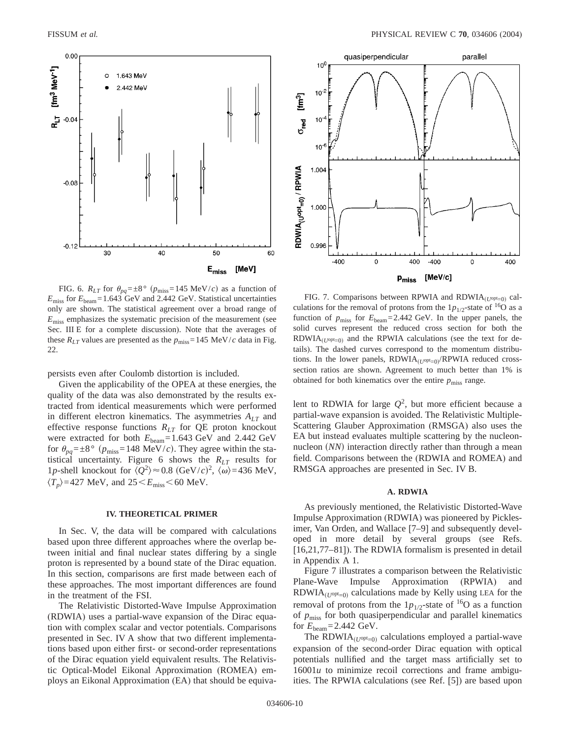

FIG. 6.  $R_{LT}$  for  $\theta_{pq} = \pm 8^{\circ}$  ( $p_{miss} = 145$  MeV/*c*) as a function of  $E_{\text{miss}}$  for  $E_{\text{beam}}$ =1.643 GeV and 2.442 GeV. Statistical uncertainties only are shown. The statistical agreement over a broad range of  $E_{\rm miss}$  emphasizes the systematic precision of the measurement (see Sec. III E for a complete discussion). Note that the averages of these  $R_{LT}$  values are presented as the  $p_{\text{miss}} = 145 \text{ MeV}/c$  data in Fig. 22.

persists even after Coulomb distortion is included.

Given the applicability of the OPEA at these energies, the quality of the data was also demonstrated by the results extracted from identical measurements which were performed in different electron kinematics. The asymmetries  $A_{LT}$  and effective response functions  $R_{LT}$  for QE proton knockout were extracted for both  $E_{\text{beam}}$ =1.643 GeV and 2.442 GeV for  $\theta_{pq} = \pm 8^{\circ}$  ( $p_{\text{miss}} = 148$  MeV/*c*). They agree within the statistical uncertainty. Figure 6 shows the *RLT* results for 1p-shell knockout for  $\langle Q^2 \rangle \approx 0.8 \text{ (GeV/}c)^2$ ,  $\langle \omega \rangle = 436 \text{ MeV}$ ,  $\langle T_p \rangle$ =427 MeV, and 25 < *E*<sub>miss</sub> < 60 MeV.

### **IV. THEORETICAL PRIMER**

In Sec. V, the data will be compared with calculations based upon three different approaches where the overlap between initial and final nuclear states differing by a single proton is represented by a bound state of the Dirac equation. In this section, comparisons are first made between each of these approaches. The most important differences are found in the treatment of the FSI.

The Relativistic Distorted-Wave Impulse Approximation (RDWIA) uses a partial-wave expansion of the Dirac equation with complex scalar and vector potentials. Comparisons presented in Sec. IV A show that two different implementations based upon either first- or second-order representations of the Dirac equation yield equivalent results. The Relativistic Optical-Model Eikonal Approximation (ROMEA) employs an Eikonal Approximation (EA) that should be equiva-



FIG. 7. Comparisons between RPWIA and RDWIA<sub>(U<sup>opt</sup>=0)</sub> calculations for the removal of protons from the  $1p_{1/2}$ -state of <sup>16</sup>O as a function of  $p_{\text{miss}}$  for  $E_{\text{beam}} = 2.442 \text{ GeV}$ . In the upper panels, the solid curves represent the reduced cross section for both the  $RDWIA_{(U^{opt}=0)}$  and the RPWIA calculations (see the text for details). The dashed curves correspond to the momentum distributions. In the lower panels, RDWIA<sub>(U<sup>opt</sup>=0)</sub>/RPWIA reduced crosssection ratios are shown. Agreement to much better than 1% is obtained for both kinematics over the entire  $p_{\text{miss}}$  range.

lent to RDWIA for large  $Q^2$ , but more efficient because a partial-wave expansion is avoided. The Relativistic Multiple-Scattering Glauber Approximation (RMSGA) also uses the EA but instead evaluates multiple scattering by the nucleonnucleon (*NN*) interaction directly rather than through a mean field. Comparisons between the (RDWIA and ROMEA) and RMSGA approaches are presented in Sec. IV B.

# **A. RDWIA**

As previously mentioned, the Relativistic Distorted-Wave Impulse Approximation (RDWIA) was pioneered by Picklesimer, Van Orden, and Wallace [7–9] and subsequently developed in more detail by several groups (see Refs. [16,21,77–81]). The RDWIA formalism is presented in detail in Appendix A 1.

Figure 7 illustrates a comparison between the Relativistic Plane-Wave Impulse Approximation (RPWIA) and  $RDWIA_{(U^{opt}=0)}$  calculations made by Kelly using LEA for the removal of protons from the  $1p_{1/2}$ -state of <sup>16</sup>O as a function of *p*miss for both quasiperpendicular and parallel kinematics for  $E_{\text{beam}} = 2.442 \text{ GeV}.$ 

The RDWIA $_{(U^{opt}=0)}$  calculations employed a partial-wave expansion of the second-order Dirac equation with optical potentials nullified and the target mass artificially set to  $16001u$  to minimize recoil corrections and frame ambiguities. The RPWIA calculations (see Ref. [5]) are based upon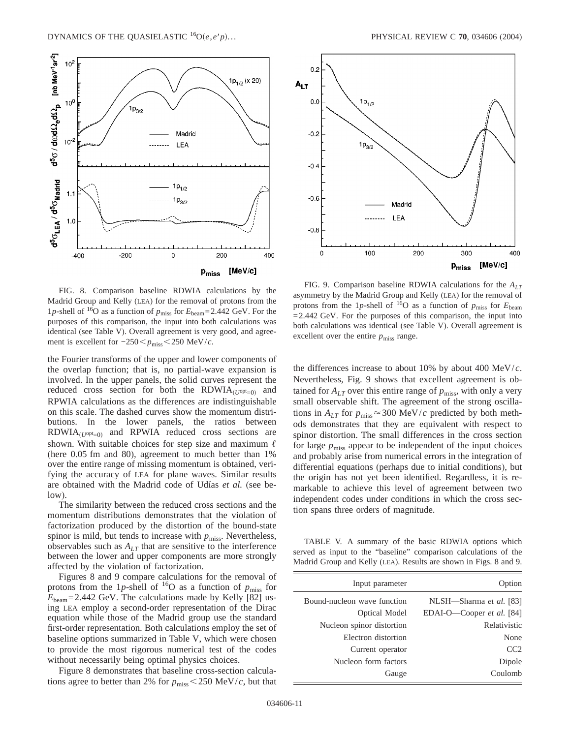

FIG. 8. Comparison baseline RDWIA calculations by the Madrid Group and Kelly (LEA) for the removal of protons from the 1*p*-shell of <sup>16</sup>O as a function of  $p_{\text{miss}}$  for  $E_{\text{beam}}$ =2.442 GeV. For the purposes of this comparison, the input into both calculations was identical (see Table V). Overall agreement is very good, and agreement is excellent for  $-250 < p$ <sub>miss</sub><250 MeV/*c*.

the Fourier transforms of the upper and lower components of the overlap function; that is, no partial-wave expansion is involved. In the upper panels, the solid curves represent the reduced cross section for both the  $RDWIA_{(1/0pt=0)}$  and RPWIA calculations as the differences are indistinguishable on this scale. The dashed curves show the momentum distributions. In the lower panels, the ratios between  $RDWIA_{(U^{opt}=0)}$  and RPWIA reduced cross sections are shown. With suitable choices for step size and maximum  $\ell$ (here 0.05 fm and 80), agreement to much better than 1% over the entire range of missing momentum is obtained, verifying the accuracy of LEA for plane waves. Similar results are obtained with the Madrid code of Udías *et al.* (see below).

The similarity between the reduced cross sections and the momentum distributions demonstrates that the violation of factorization produced by the distortion of the bound-state spinor is mild, but tends to increase with  $p_{\text{miss}}$ . Nevertheless, observables such as *ALT* that are sensitive to the interference between the lower and upper components are more strongly affected by the violation of factorization.

Figures 8 and 9 compare calculations for the removal of protons from the 1p-shell of <sup>16</sup>O as a function of  $p_{\text{miss}}$  for  $E_{\text{beam}}$ =2.442 GeV. The calculations made by Kelly [82] using LEA employ a second-order representation of the Dirac equation while those of the Madrid group use the standard first-order representation. Both calculations employ the set of baseline options summarized in Table V, which were chosen to provide the most rigorous numerical test of the codes without necessarily being optimal physics choices.

Figure 8 demonstrates that baseline cross-section calculations agree to better than 2% for  $p_{\text{miss}} < 250 \text{ MeV}/c$ , but that



FIG. 9. Comparison baseline RDWIA calculations for the  $A_{LT}$ asymmetry by the Madrid Group and Kelly (LEA) for the removal of protons from the 1p-shell of <sup>16</sup>O as a function of  $p_{\text{miss}}$  for  $E_{\text{beam}}$  $=2.442$  GeV. For the purposes of this comparison, the input into both calculations was identical (see Table V). Overall agreement is excellent over the entire  $p_{\text{miss}}$  range.

the differences increase to about 10% by about 400 MeV/*c*. Nevertheless, Fig. 9 shows that excellent agreement is obtained for  $A_{LT}$  over this entire range of  $p_{\text{miss}}$ , with only a very small observable shift. The agreement of the strong oscillations in  $A_{LT}$  for  $p_{\text{miss}} \approx 300 \text{ MeV}/c$  predicted by both methods demonstrates that they are equivalent with respect to spinor distortion. The small differences in the cross section for large  $p_{\text{miss}}$  appear to be independent of the input choices and probably arise from numerical errors in the integration of differential equations (perhaps due to initial conditions), but the origin has not yet been identified. Regardless, it is remarkable to achieve this level of agreement between two independent codes under conditions in which the cross section spans three orders of magnitude.

TABLE V. A summary of the basic RDWIA options which served as input to the "baseline" comparison calculations of the Madrid Group and Kelly (LEA). Results are shown in Figs. 8 and 9.

| Input parameter             | Option                    |
|-----------------------------|---------------------------|
| Bound-nucleon wave function | NLSH—Sharma et al. [83]   |
| Optical Model               | EDAI-O-Cooper et al. [84] |
| Nucleon spinor distortion   | Relativistic              |
| Electron distortion         | None                      |
| Current operator            | CC2                       |
| Nucleon form factors        | Dipole                    |
| Gauge                       | Coulomb                   |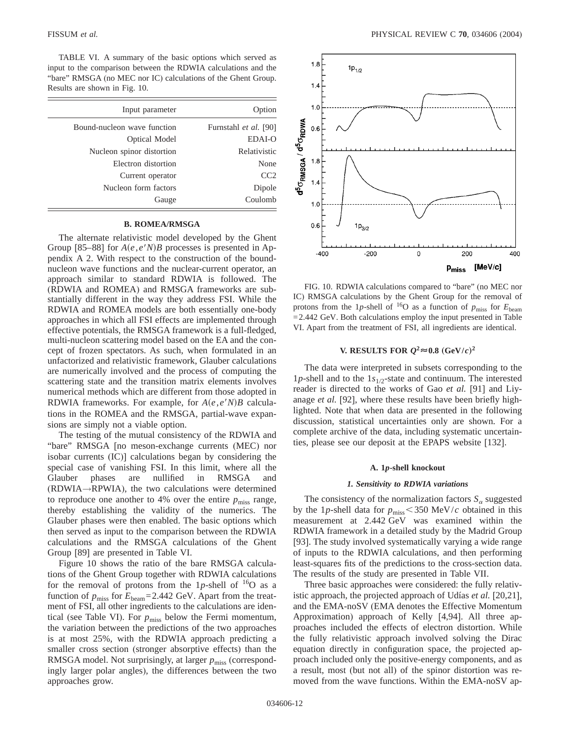TABLE VI. A summary of the basic options which served as input to the comparison between the RDWIA calculations and the "bare" RMSGA (no MEC nor IC) calculations of the Ghent Group. Results are shown in Fig. 10.

| Input parameter             |
|-----------------------------|
| Bound-nucleon wave function |
| Optical Model               |
| Nucleon spinor distortion   |
| Electron distortion         |
| Current operator            |
| Nucleon form factors        |
| Gauge                       |
|                             |

# **B. ROMEA/RMSGA**

The alternate relativistic model developed by the Ghent Group [85–88] for  $A(e, e/N)B$  processes is presented in Appendix A 2. With respect to the construction of the boundnucleon wave functions and the nuclear-current operator, an approach similar to standard RDWIA is followed. The (RDWIA and ROMEA) and RMSGA frameworks are substantially different in the way they address FSI. While the RDWIA and ROMEA models are both essentially one-body approaches in which all FSI effects are implemented through effective potentials, the RMSGA framework is a full-fledged, multi-nucleon scattering model based on the EA and the concept of frozen spectators. As such, when formulated in an unfactorized and relativistic framework, Glauber calculations are numerically involved and the process of computing the scattering state and the transition matrix elements involves numerical methods which are different from those adopted in RDWIA frameworks. For example, for  $A(e, e^t N)B$  calculations in the ROMEA and the RMSGA, partial-wave expansions are simply not a viable option.

The testing of the mutual consistency of the RDWIA and "bare" RMSGA [no meson-exchange currents (MEC) nor isobar currents (IC)] calculations began by considering the special case of vanishing FSI. In this limit, where all the Glauber phases are nullified in RMSGA and  $(RDWIA \rightarrow RPWIA)$ , the two calculations were determined to reproduce one another to 4% over the entire  $p_{\text{miss}}$  range, thereby establishing the validity of the numerics. The Glauber phases were then enabled. The basic options which then served as input to the comparison between the RDWIA calculations and the RMSGA calculations of the Ghent Group [89] are presented in Table VI.

Figure 10 shows the ratio of the bare RMSGA calculations of the Ghent Group together with RDWIA calculations for the removal of protons from the 1p-shell of  $^{16}O$  as a function of  $p_{\text{miss}}$  for  $E_{\text{beam}}$ =2.442 GeV. Apart from the treatment of FSI, all other ingredients to the calculations are identical (see Table VI). For  $p_{\text{miss}}$  below the Fermi momentum, the variation between the predictions of the two approaches is at most 25%, with the RDWIA approach predicting a smaller cross section (stronger absorptive effects) than the RMSGA model. Not surprisingly, at larger  $p_{\text{miss}}$  (correspondingly larger polar angles), the differences between the two approaches grow.



FIG. 10. RDWIA calculations compared to "bare" (no MEC nor IC) RMSGA calculations by the Ghent Group for the removal of protons from the 1*p*-shell of 16O as a function of *p*miss for *E*beam  $=$  2.442 GeV. Both calculations employ the input presented in Table VI. Apart from the treatment of FSI, all ingredients are identical.

# **V. RESULTS FOR**  $Q^2 \approx 0.8$  (GeV/*c*)<sup>2</sup>

The data were interpreted in subsets corresponding to the 1*p*-shell and to the 1*s*1/2-state and continuum. The interested reader is directed to the works of Gao *et al.* [91] and Liyanage *et al.* [92], where these results have been briefly highlighted. Note that when data are presented in the following discussion, statistical uncertainties only are shown. For a complete archive of the data, including systematic uncertainties, please see our deposit at the EPAPS website [132].

### **A. 1***p***-shell knockout**

### *1. Sensitivity to RDWIA variations*

The consistency of the normalization factors  $S_a$  suggested by the 1p-shell data for  $p_{\text{miss}}$  < 350 MeV/*c* obtained in this measurement at 2.442 GeV was examined within the RDWIA framework in a detailed study by the Madrid Group [93]. The study involved systematically varying a wide range of inputs to the RDWIA calculations, and then performing least-squares fits of the predictions to the cross-section data. The results of the study are presented in Table VII.

Three basic approaches were considered: the fully relativistic approach, the projected approach of Udías *et al.* [20,21], and the EMA-noSV (EMA denotes the Effective Momentum Approximation) approach of Kelly [4,94]. All three approaches included the effects of electron distortion. While the fully relativistic approach involved solving the Dirac equation directly in configuration space, the projected approach included only the positive-energy components, and as a result, most (but not all) of the spinor distortion was removed from the wave functions. Within the EMA-noSV ap-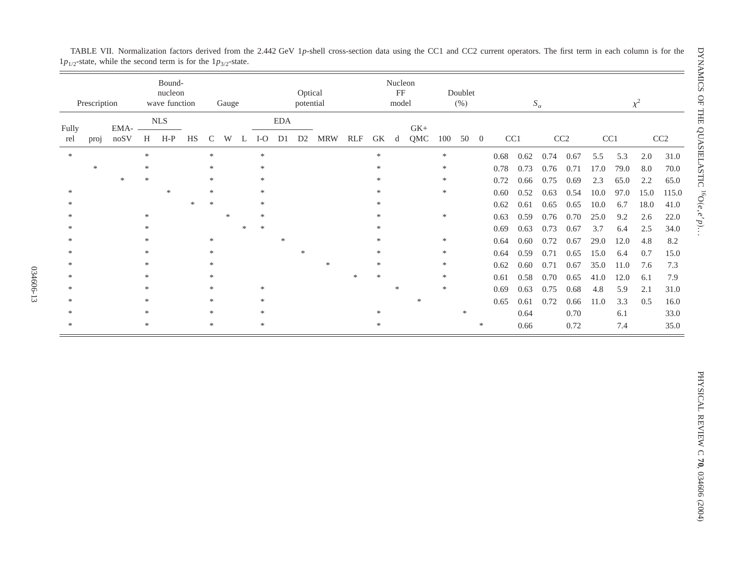|              | Prescription |              |        | Bound-<br>nucleon<br>wave function |        |             | Gauge  |   |        |            | Optical<br>potential |        |     |        | Nucleon<br>FF<br>model |        |        | Doublet<br>(% ) |                |      |                 | $S_{\alpha}$ |                 |      |      | $\chi^2$ |                 |
|--------------|--------------|--------------|--------|------------------------------------|--------|-------------|--------|---|--------|------------|----------------------|--------|-----|--------|------------------------|--------|--------|-----------------|----------------|------|-----------------|--------------|-----------------|------|------|----------|-----------------|
|              |              |              |        | NLS                                |        |             |        |   |        | <b>EDA</b> |                      |        |     |        |                        | $GK+$  |        |                 |                |      |                 |              |                 |      |      |          |                 |
| Fully<br>rel | proj         | EMA-<br>noSV | H      | $H-P$                              | HS     | $\mathbf C$ | W      | L | $I-O$  | D1         | D <sub>2</sub>       | MRW    | RLF | GK     | d                      | QMC    | 100    | 50              | $\overline{0}$ |      | CC <sub>1</sub> |              | CC <sub>2</sub> | CC1  |      |          | CC <sub>2</sub> |
| $\ast$       |              |              | $*$    |                                    |        | $\ast$      |        |   | $\ast$ |            |                      |        |     | $\ast$ |                        |        | $\ast$ |                 |                | 0.68 | 0.62            | 0.74         | 0.67            | 5.5  | 5.3  | 2.0      | 31.0            |
|              | $\ast$       |              | $\ast$ |                                    |        | *           |        |   | $\ast$ |            |                      |        |     | $\ast$ |                        |        | $\ast$ |                 |                | 0.78 | 0.73            | 0.76         | 0.71            | 17.0 | 79.0 | 8.0      | 70.0            |
|              |              | $*$          | $\ast$ |                                    |        | *           |        |   | $\ast$ |            |                      |        |     |        |                        |        | $\ast$ |                 |                | 0.72 | 0.66            | 0.75         | 0.69            | 2.3  | 65.0 | 2.2      | 65.0            |
| 宋            |              |              |        | $*$                                |        | $\ast$      |        |   | $*$    |            |                      |        |     |        |                        |        | $\ast$ |                 |                | 0.60 | 0.52            | 0.63         | 0.54            | 10.0 | 97.0 | 15.0     | 115.0           |
|              |              |              |        |                                    | $\ast$ | *           |        |   | $\ast$ |            |                      |        |     |        |                        |        |        |                 |                | 0.62 | 0.61            | 0.65         | 0.65            | 10.0 | 6.7  | 18.0     | 41.0            |
|              |              |              | $\ast$ |                                    |        |             | $\ast$ |   | $\ast$ |            |                      |        |     |        |                        |        | $\ast$ |                 |                | 0.63 | 0.59            | 0.76         | 0.70            | 25.0 | 9.2  | 2.6      | 22.0            |
|              |              |              |        |                                    |        |             |        |   | $\ast$ |            |                      |        |     |        |                        |        |        |                 |                | 0.69 | 0.63            | 0.73         | 0.67            | 3.7  | 6.4  | 2.5      | 34.0            |
|              |              |              | ×.     |                                    |        | $*$         |        |   |        | *          |                      |        |     |        |                        |        | $\ast$ |                 |                | 0.64 | 0.60            | 0.72         | 0.67            | 29.0 | 12.0 | 4.8      | 8.2             |
|              |              |              | ×.     |                                    |        | $\ast$      |        |   |        |            | $\ast$               |        |     |        |                        |        | *      |                 |                | 0.64 | 0.59            | 0.71         | 0.65            | 15.0 | 6.4  | 0.7      | 15.0            |
|              |              |              | $\ast$ |                                    |        | $*$         |        |   |        |            |                      | $\ast$ |     | $\ast$ |                        |        | $\ast$ |                 |                | 0.62 | 0.60            | 0.71         | 0.67            | 35.0 | 11.0 | 7.6      | 7.3             |
|              |              |              | *      |                                    |        | $\ast$      |        |   |        |            |                      |        |     |        |                        |        | $\ast$ |                 |                | 0.61 | 0.58            | 0.70         | 0.65            | 41.0 | 12.0 | 6.1      | 7.9             |
|              |              |              |        |                                    |        | $\ast$      |        |   | $\ast$ |            |                      |        |     |        | $\ast$                 |        | $\ast$ |                 |                | 0.69 | 0.63            | 0.75         | 0.68            | 4.8  | 5.9  | 2.1      | 31.0            |
|              |              |              | $\ast$ |                                    |        | *           |        |   | $\ast$ |            |                      |        |     |        |                        | $\ast$ |        |                 |                | 0.65 | 0.61            | 0.72         | 0.66            | 11.0 | 3.3  | 0.5      | 16.0            |
|              |              |              | $\ast$ |                                    |        | *           |        |   | $*$    |            |                      |        |     |        |                        |        |        | ∗               |                |      | 0.64            |              | 0.70            |      | 6.1  |          | 33.0            |
| $\ast$       |              |              | $*$    |                                    |        | $\ast$      |        |   | $\ast$ |            |                      |        |     | $\ast$ |                        |        |        |                 | ∗              |      | 0.66            |              | 0.72            |      | 7.4  |          | 35.0            |

TABLE VII. Normalization factors derived from the 2.442 GeV 1*p*-shell cross-section data using the CC1 and CC2 current operators. The first term in each column is for the  $1p_{1/2}$ -state, while the second term is for the  $1p_{3/2}$ -state.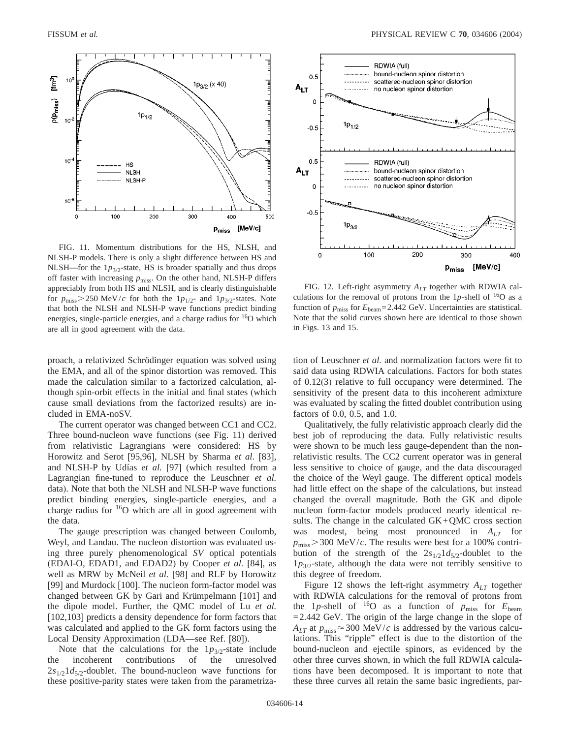

FIG. 11. Momentum distributions for the HS, NLSH, and NLSH-P models. There is only a slight difference between HS and NLSH—for the  $1p_{3/2}$ -state, HS is broader spatially and thus drops off faster with increasing  $p_{\text{miss}}$ . On the other hand, NLSH-P differs appreciably from both HS and NLSH, and is clearly distinguishable for  $p_{\text{miss}} > 250$  MeV/*c* for both the  $1p_{1/2}$ - and  $1p_{3/2}$ -states. Note that both the NLSH and NLSH-P wave functions predict binding energies, single-particle energies, and a charge radius for  $16O$  which are all in good agreement with the data.

proach, a relativized Schrödinger equation was solved using the EMA, and all of the spinor distortion was removed. This made the calculation similar to a factorized calculation, although spin-orbit effects in the initial and final states (which cause small deviations from the factorized results) are included in EMA-noSV.

The current operator was changed between CC1 and CC2. Three bound-nucleon wave functions (see Fig. 11) derived from relativistic Lagrangians were considered: HS by Horowitz and Serot [95,96], NLSH by Sharma *et al.* [83], and NLSH-P by Udías *et al.* [97] (which resulted from a Lagrangian fine-tuned to reproduce the Leuschner *et al.* data). Note that both the NLSH and NLSH-P wave functions predict binding energies, single-particle energies, and a charge radius for  $16$ O which are all in good agreement with the data.

The gauge prescription was changed between Coulomb, Weyl, and Landau. The nucleon distortion was evaluated using three purely phenomenological *SV* optical potentials (EDAI-O, EDAD1, and EDAD2) by Cooper *et al.* [84], as well as MRW by McNeil *et al.* [98] and RLF by Horowitz [99] and Murdock [100]. The nucleon form-factor model was changed between GK by Gari and Krümpelmann [101] and the dipole model. Further, the QMC model of Lu *et al.* [102,103] predicts a density dependence for form factors that was calculated and applied to the GK form factors using the Local Density Approximation (LDA—see Ref. [80]).

Note that the calculations for the  $1p_{3/2}$ -state include incoherent contributions of the unresolved the incoherent contributions of the unresolved  $2s_{1/2}$ 1 $d_{5/2}$ -doublet. The bound-nucleon wave functions for these positive-parity states were taken from the parametriza-



FIG. 12. Left-right asymmetry *ALT* together with RDWIA calculations for the removal of protons from the 1p-shell of  $^{16}O$  as a function of  $p_{\text{miss}}$  for  $E_{\text{beam}} = 2.442 \text{ GeV}$ . Uncertainties are statistical. Note that the solid curves shown here are identical to those shown in Figs. 13 and 15.

tion of Leuschner *et al.* and normalization factors were fit to said data using RDWIA calculations. Factors for both states of 0.12(3) relative to full occupancy were determined. The sensitivity of the present data to this incoherent admixture was evaluated by scaling the fitted doublet contribution using factors of 0.0, 0.5, and 1.0.

Qualitatively, the fully relativistic approach clearly did the best job of reproducing the data. Fully relativistic results were shown to be much less gauge-dependent than the nonrelativistic results. The CC2 current operator was in general less sensitive to choice of gauge, and the data discouraged the choice of the Weyl gauge. The different optical models had little effect on the shape of the calculations, but instead changed the overall magnitude. Both the GK and dipole nucleon form-factor models produced nearly identical results. The change in the calculated  $GK+QMC$  cross section was modest, being most pronounced in  $A_{LT}$  for  $p_{\text{miss}}$  > 300 MeV/*c*. The results were best for a 100% contribution of the strength of the  $2s_{1/2}1d_{5/2}$ -doublet to the  $1p_{3/2}$ -state, although the data were not terribly sensitive to this degree of freedom.

Figure 12 shows the left-right asymmetry  $A_{LT}$  together with RDWIA calculations for the removal of protons from the 1*p*-shell of  $^{16}O$  as a function of  $p_{\text{miss}}$  for  $E_{\text{beam}}$ =2.442 GeV. The origin of the large change in the slope of  $A_{LT}$  at  $p_{\text{miss}} \approx 300 \text{ MeV}/c$  is addressed by the various calculations. This "ripple" effect is due to the distortion of the bound-nucleon and ejectile spinors, as evidenced by the other three curves shown, in which the full RDWIA calculations have been decomposed. It is important to note that these three curves all retain the same basic ingredients, par-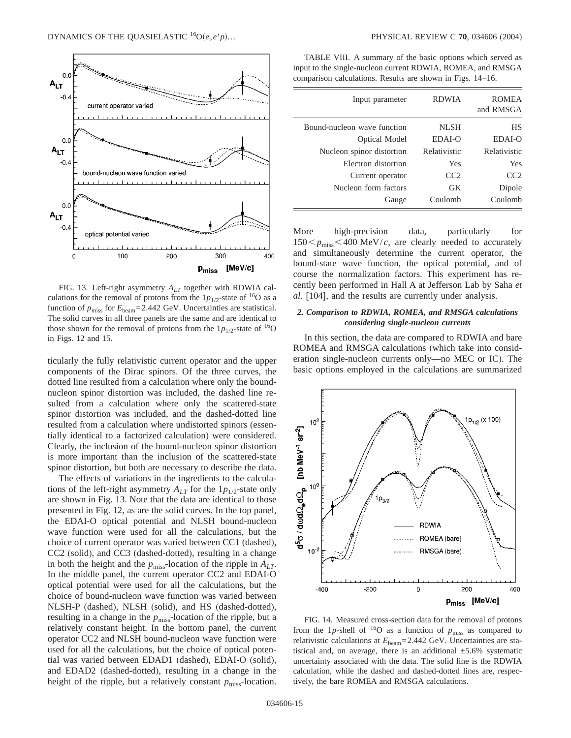

FIG. 13. Left-right asymmetry *ALT* together with RDWIA calculations for the removal of protons from the  $1p_{1/2}$ -state of <sup>16</sup>O as a function of  $p_{\text{miss}}$  for  $E_{\text{beam}} = 2.442 \text{ GeV}$ . Uncertainties are statistical. The solid curves in all three panels are the same and are identical to those shown for the removal of protons from the  $1p_{1/2}$ -state of <sup>16</sup>O in Figs. 12 and 15.

ticularly the fully relativistic current operator and the upper components of the Dirac spinors. Of the three curves, the dotted line resulted from a calculation where only the boundnucleon spinor distortion was included, the dashed line resulted from a calculation where only the scattered-state spinor distortion was included, and the dashed-dotted line resulted from a calculation where undistorted spinors (essentially identical to a factorized calculation) were considered. Clearly, the inclusion of the bound-nucleon spinor distortion is more important than the inclusion of the scattered-state spinor distortion, but both are necessary to describe the data.

The effects of variations in the ingredients to the calculations of the left-right asymmetry  $A_{LT}$  for the  $1p_{1/2}$ -state only are shown in Fig. 13. Note that the data are identical to those presented in Fig. 12, as are the solid curves. In the top panel, the EDAI-O optical potential and NLSH bound-nucleon wave function were used for all the calculations, but the choice of current operator was varied between CC1 (dashed), CC2 (solid), and CC3 (dashed-dotted), resulting in a change in both the height and the  $p_{\text{miss}}$ -location of the ripple in  $A_{LT}$ . In the middle panel, the current operator CC2 and EDAI-O optical potential were used for all the calculations, but the choice of bound-nucleon wave function was varied between NLSH-P (dashed), NLSH (solid), and HS (dashed-dotted), resulting in a change in the  $p_{\text{miss}}$ -location of the ripple, but a relatively constant height. In the bottom panel, the current operator CC2 and NLSH bound-nucleon wave function were used for all the calculations, but the choice of optical potential was varied between EDAD1 (dashed), EDAI-O (solid), and EDAD2 (dashed-dotted), resulting in a change in the height of the ripple, but a relatively constant  $p_{\text{miss}}$ -location.

TABLE VIII. A summary of the basic options which served as input to the single-nucleon current RDWIA, ROMEA, and RMSGA comparison calculations. Results are shown in Figs. 14–16.

| Input parameter             | <b>RDWIA</b> | <b>ROMEA</b><br>and RMSGA |
|-----------------------------|--------------|---------------------------|
| Bound-nucleon wave function | <b>NLSH</b>  | HS                        |
| <b>Optical Model</b>        | EDAI-O       | EDAI-O                    |
| Nucleon spinor distortion   | Relativistic | Relativistic              |
| Electron distortion         | Yes          | Yes                       |
| Current operator            | CC2          | CC2                       |
| Nucleon form factors        | GK           | Dipole                    |
| Gauge                       | Coulomb      | Coulomb                   |

More high-precision data, particularly for  $150 < p_{\text{miss}} < 400 \text{ MeV}/c$ , are clearly needed to accurately and simultaneously determine the current operator, the bound-state wave function, the optical potential, and of course the normalization factors. This experiment has recently been performed in Hall A at Jefferson Lab by Saha *et al.* [104], and the results are currently under analysis.

# *2. Comparison to RDWIA, ROMEA, and RMSGA calculations considering single-nucleon currents*

In this section, the data are compared to RDWIA and bare ROMEA and RMSGA calculations (which take into consideration single-nucleon currents only—no MEC or IC). The basic options employed in the calculations are summarized



FIG. 14. Measured cross-section data for the removal of protons from the 1p-shell of  $16$ O as a function of  $p_{\text{miss}}$  as compared to relativistic calculations at *E*beam=2.442 GeV. Uncertainties are statistical and, on average, there is an additional  $\pm$ 5.6% systematic uncertainty associated with the data. The solid line is the RDWIA calculation, while the dashed and dashed-dotted lines are, respectively, the bare ROMEA and RMSGA calculations.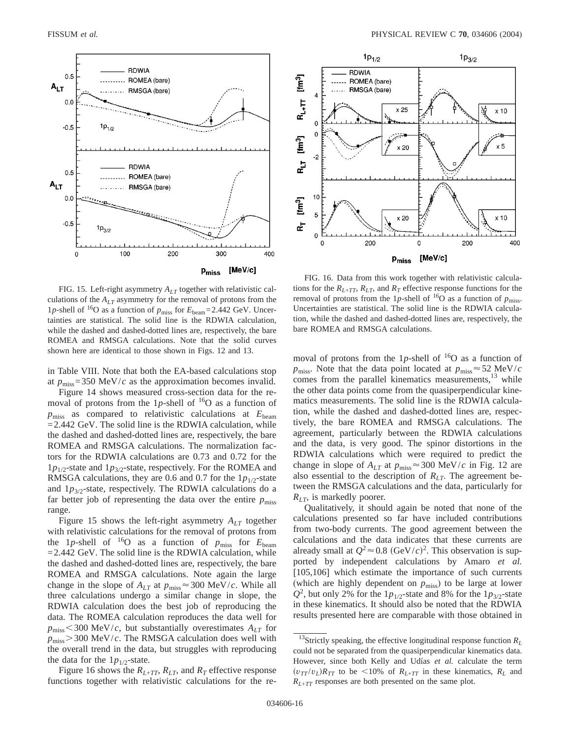

FIG. 15. Left-right asymmetry  $A_{LT}$  together with relativistic calculations of the  $A_{LT}$  asymmetry for the removal of protons from the 1*p*-shell of <sup>16</sup>O as a function of  $p_{\text{miss}}$  for  $E_{\text{beam}} = 2.442 \text{ GeV}$ . Uncertainties are statistical. The solid line is the RDWIA calculation, while the dashed and dashed-dotted lines are, respectively, the bare ROMEA and RMSGA calculations. Note that the solid curves shown here are identical to those shown in Figs. 12 and 13.

in Table VIII. Note that both the EA-based calculations stop at  $p_{\text{miss}}$ =350 MeV/*c* as the approximation becomes invalid.

Figure 14 shows measured cross-section data for the removal of protons from the 1p-shell of  $16$ O as a function of  $p_{\text{miss}}$  as compared to relativistic calculations at  $E_{\text{beam}}$  $=$  2.442 GeV. The solid line is the RDWIA calculation, while the dashed and dashed-dotted lines are, respectively, the bare ROMEA and RMSGA calculations. The normalization factors for the RDWIA calculations are 0.73 and 0.72 for the  $1p_{1/2}$ -state and  $1p_{3/2}$ -state, respectively. For the ROMEA and RMSGA calculations, they are 0.6 and 0.7 for the  $1p_{1/2}$ -state and  $1p_{3/2}$ -state, respectively. The RDWIA calculations do a far better job of representing the data over the entire  $p_{\text{miss}}$ range.

Figure 15 shows the left-right asymmetry *ALT* together with relativistic calculations for the removal of protons from the 1*p*-shell of <sup>16</sup>O as a function of  $p_{\text{miss}}$  for  $E_{\text{beam}}$  $=$  2.442 GeV. The solid line is the RDWIA calculation, while the dashed and dashed-dotted lines are, respectively, the bare ROMEA and RMSGA calculations. Note again the large change in the slope of  $A_{LT}$  at  $p_{\text{miss}} \approx 300 \text{ MeV}/c$ . While all three calculations undergo a similar change in slope, the RDWIA calculation does the best job of reproducing the data. The ROMEA calculation reproduces the data well for  $p_{\text{miss}}$  < 300 MeV/*c*, but substantially overestimates  $A_{LT}$  for  $p_{\text{miss}}$  $>$  300 MeV/*c*. The RMSGA calculation does well with the overall trend in the data, but struggles with reproducing the data for the  $1p_{1/2}$ -state.

Figure 16 shows the  $R_{L+TT}$ ,  $R_{LT}$ , and  $R_T$  effective response functions together with relativistic calculations for the re-



FIG. 16. Data from this work together with relativistic calculations for the  $R_{L+TT}$ ,  $R_{LT}$ , and  $R_T$  effective response functions for the removal of protons from the 1p-shell of <sup>16</sup>O as a function of  $p_{\text{miss}}$ . Uncertainties are statistical. The solid line is the RDWIA calculation, while the dashed and dashed-dotted lines are, respectively, the bare ROMEA and RMSGA calculations.

moval of protons from the 1p-shell of  $^{16}O$  as a function of  $p_{\text{miss}}$ . Note that the data point located at  $p_{\text{miss}} \approx 52 \text{ MeV}/c$ comes from the parallel kinematics measurements, $13$  while the other data points come from the quasiperpendicular kinematics measurements. The solid line is the RDWIA calculation, while the dashed and dashed-dotted lines are, respectively, the bare ROMEA and RMSGA calculations. The agreement, particularly between the RDWIA calculations and the data, is very good. The spinor distortions in the RDWIA calculations which were required to predict the change in slope of  $A_{LT}$  at  $p_{miss} \approx 300 \text{ MeV}/c$  in Fig. 12 are also essential to the description of  $R_{LT}$ . The agreement between the RMSGA calculations and the data, particularly for *RLT*, is markedly poorer.

Qualitatively, it should again be noted that none of the calculations presented so far have included contributions from two-body currents. The good agreement between the calculations and the data indicates that these currents are already small at  $Q^2 \approx 0.8$  (GeV/*c*)<sup>2</sup>. This observation is supported by independent calculations by Amaro *et al.* [105,106] which estimate the importance of such currents (which are highly dependent on *p*miss) to be large at lower  $Q^2$ , but only 2% for the 1*p*<sub>1/2</sub>-state and 8% for the 1*p*<sub>3/2</sub>-state in these kinematics. It should also be noted that the RDWIA results presented here are comparable with those obtained in

 $^{13}$  Strictly speaking, the effective longitudinal response function  $R_L$ could not be separated from the quasiperpendicular kinematics data. However, since both Kelly and Udías *et al.* calculate the term  $(v_{TT}/v_L)R_{TT}$  to be <10% of  $R_{L+TT}$  in these kinematics,  $R_L$  and *RL*<sup>+</sup>*TT* responses are both presented on the same plot.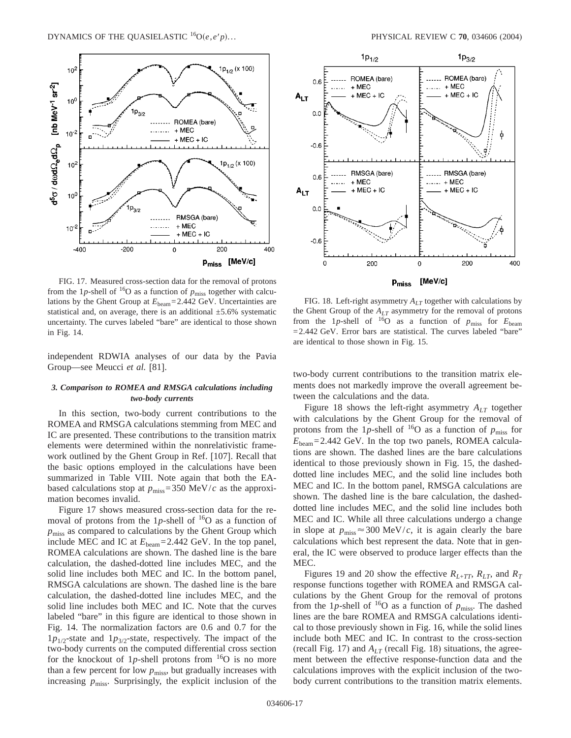

FIG. 17. Measured cross-section data for the removal of protons from the 1p-shell of <sup>16</sup>O as a function of  $p_{\text{miss}}$  together with calculations by the Ghent Group at *E*beam=2.442 GeV. Uncertainties are statistical and, on average, there is an additional  $\pm$ 5.6% systematic uncertainty. The curves labeled "bare" are identical to those shown in Fig. 14.

independent RDWIA analyses of our data by the Pavia Group—see Meucci *et al.* [81].

# *3. Comparison to ROMEA and RMSGA calculations including two-body currents*

In this section, two-body current contributions to the ROMEA and RMSGA calculations stemming from MEC and IC are presented. These contributions to the transition matrix elements were determined within the nonrelativistic framework outlined by the Ghent Group in Ref. [107]. Recall that the basic options employed in the calculations have been summarized in Table VIII. Note again that both the EAbased calculations stop at  $p_{\text{miss}}$ =350 MeV/*c* as the approximation becomes invalid.

Figure 17 shows measured cross-section data for the removal of protons from the 1p-shell of  $^{16}O$  as a function of *p*miss as compared to calculations by the Ghent Group which include MEC and IC at *E*beam=2.442 GeV. In the top panel, ROMEA calculations are shown. The dashed line is the bare calculation, the dashed-dotted line includes MEC, and the solid line includes both MEC and IC. In the bottom panel, RMSGA calculations are shown. The dashed line is the bare calculation, the dashed-dotted line includes MEC, and the solid line includes both MEC and IC. Note that the curves labeled "bare" in this figure are identical to those shown in Fig. 14. The normalization factors are 0.6 and 0.7 for the  $1p_{1/2}$ -state and  $1p_{3/2}$ -state, respectively. The impact of the two-body currents on the computed differential cross section for the knockout of 1p-shell protons from  $^{16}O$  is no more than a few percent for low  $p_{\text{miss}}$ , but gradually increases with increasing  $p_{\text{miss}}$ . Surprisingly, the explicit inclusion of the



FIG. 18. Left-right asymmetry *ALT* together with calculations by the Ghent Group of the *ALT* asymmetry for the removal of protons from the 1p-shell of  $160$  as a function of  $p_{\text{miss}}$  for  $E_{\text{beam}}$ =2.442 GeV. Error bars are statistical. The curves labeled "bare" are identical to those shown in Fig. 15.

two-body current contributions to the transition matrix elements does not markedly improve the overall agreement between the calculations and the data.

Figure 18 shows the left-right asymmetry  $A_{LT}$  together with calculations by the Ghent Group for the removal of protons from the 1p-shell of <sup>16</sup>O as a function of  $p_{\text{miss}}$  for  $E_{\text{beam}}$ =2.442 GeV. In the top two panels, ROMEA calculations are shown. The dashed lines are the bare calculations identical to those previously shown in Fig. 15, the dasheddotted line includes MEC, and the solid line includes both MEC and IC. In the bottom panel, RMSGA calculations are shown. The dashed line is the bare calculation, the dasheddotted line includes MEC, and the solid line includes both MEC and IC. While all three calculations undergo a change in slope at  $p_{\text{miss}} \approx 300 \text{ MeV}/c$ , it is again clearly the bare calculations which best represent the data. Note that in general, the IC were observed to produce larger effects than the MEC.

Figures 19 and 20 show the effective  $R_{L+TT}$ ,  $R_{LT}$ , and  $R_T$ response functions together with ROMEA and RMSGA calculations by the Ghent Group for the removal of protons from the 1*p*-shell of <sup>16</sup>O as a function of  $p_{\text{miss}}$ . The dashed lines are the bare ROMEA and RMSGA calculations identical to those previously shown in Fig. 16, while the solid lines include both MEC and IC. In contrast to the cross-section (recall Fig. 17) and  $A_{LT}$  (recall Fig. 18) situations, the agreement between the effective response-function data and the calculations improves with the explicit inclusion of the twobody current contributions to the transition matrix elements.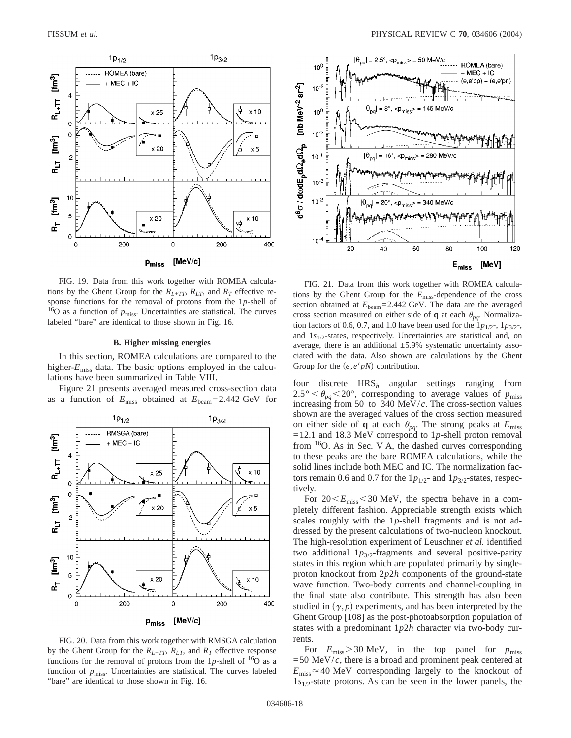

FIG. 19. Data from this work together with ROMEA calculations by the Ghent Group for the  $R_{L+TT}$ ,  $R_{LT}$ , and  $R_T$  effective response functions for the removal of protons from the 1*p*-shell of  $16$ O as a function of  $p_{\text{miss}}$ . Uncertainties are statistical. The curves labeled "bare" are identical to those shown in Fig. 16.

# **B. Higher missing energies**

In this section, ROMEA calculations are compared to the higher- $E_{\text{miss}}$  data. The basic options employed in the calculations have been summarized in Table VIII.

Figure 21 presents averaged measured cross-section data as a function of  $E_{\text{miss}}$  obtained at  $E_{\text{beam}} = 2.442 \text{ GeV}$  for



FIG. 20. Data from this work together with RMSGA calculation by the Ghent Group for the  $R_{L+TT}$ ,  $R_{LT}$ , and  $R_T$  effective response functions for the removal of protons from the  $1p$ -shell of  $^{16}O$  as a function of  $p_{\text{miss}}$ . Uncertainties are statistical. The curves labeled "bare" are identical to those shown in Fig. 16.



FIG. 21. Data from this work together with ROMEA calculations by the Ghent Group for the *E*miss-dependence of the cross section obtained at  $E_{\text{beam}} = 2.442 \text{ GeV}$ . The data are the averaged cross section measured on either side of **q** at each  $\theta_{pq}$ . Normalization factors of 0.6, 0.7, and 1.0 have been used for the  $1p_{1/2}$ ,  $1p_{3/2}$ , and  $1s_{1/2}$ -states, respectively. Uncertainties are statistical and, on average, there is an additional  $\pm$ 5.9% systematic uncertainty associated with the data. Also shown are calculations by the Ghent Group for the  $(e, e'p)$  contribution.

four discrete HRS*<sup>h</sup>* angular settings ranging from  $2.5^{\circ} < \theta_{pq} < 20^{\circ}$ , corresponding to average values of  $p_{\text{miss}}$ increasing from 50 to 340 MeV/*c*. The cross-section values shown are the averaged values of the cross section measured on either side of **q** at each  $\theta_{pq}$ . The strong peaks at  $E_{\text{miss}}$ =12.1 and 18.3 MeV correspond to 1*p*-shell proton removal from  $16O$ . As in Sec. V A, the dashed curves corresponding to these peaks are the bare ROMEA calculations, while the solid lines include both MEC and IC. The normalization factors remain 0.6 and 0.7 for the  $1p_{1/2}$ - and  $1p_{3/2}$ -states, respectively.

For  $20 \le E_{\text{miss}} \le 30$  MeV, the spectra behave in a completely different fashion. Appreciable strength exists which scales roughly with the 1*p*-shell fragments and is not addressed by the present calculations of two-nucleon knockout. The high-resolution experiment of Leuschner *et al.* identified two additional  $1p_{3/2}$ -fragments and several positive-parity states in this region which are populated primarily by singleproton knockout from 2*p*2*h* components of the ground-state wave function. Two-body currents and channel-coupling in the final state also contribute. This strength has also been studied in  $(\gamma, p)$  experiments, and has been interpreted by the Ghent Group [108] as the post-photoabsorption population of states with a predominant 1*p*2*h* character via two-body currents.

For  $E_{\text{miss}} > 30$  MeV, in the top panel for  $p_{\text{miss}}$  $=50$  MeV/ $c$ , there is a broad and prominent peak centered at  $E_{\text{miss}} \approx 40 \text{ MeV}$  corresponding largely to the knockout of 1*s*1/2-state protons. As can be seen in the lower panels, the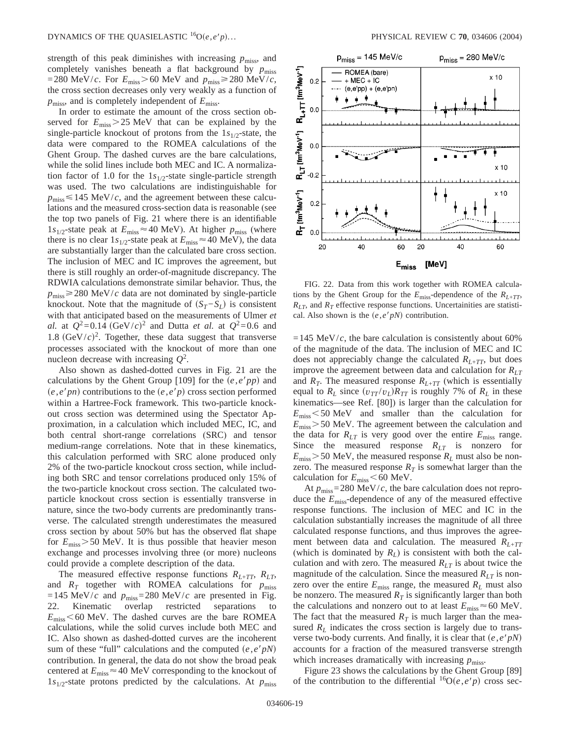strength of this peak diminishes with increasing  $p_{\text{miss}}$ , and completely vanishes beneath a flat background by  $p_{\text{miss}}$ =280 MeV/*c*. For  $E_{\text{miss}} > 60$  MeV and  $p_{\text{miss}} \ge 280$  MeV/*c*, the cross section decreases only very weakly as a function of *p*miss, and is completely independent of *E*miss.

In order to estimate the amount of the cross section observed for  $E_{\text{miss}} > 25 \text{ MeV}$  that can be explained by the single-particle knockout of protons from the  $1s_{1/2}$ -state, the data were compared to the ROMEA calculations of the Ghent Group. The dashed curves are the bare calculations, while the solid lines include both MEC and IC. A normalization factor of 1.0 for the  $1s_{1/2}$ -state single-particle strength was used. The two calculations are indistinguishable for  $p_{\text{miss}} \le 145$  MeV/*c*, and the agreement between these calculations and the measured cross-section data is reasonable (see the top two panels of Fig. 21 where there is an identifiable  $1s_{1/2}$ -state peak at  $E_{\text{miss}} \approx 40 \text{ MeV}$ ). At higher  $p_{\text{miss}}$  (where there is no clear  $1s_{1/2}$ -state peak at  $E_{\text{miss}} \approx 40 \text{ MeV}$ , the data are substantially larger than the calculated bare cross section. The inclusion of MEC and IC improves the agreement, but there is still roughly an order-of-magnitude discrepancy. The RDWIA calculations demonstrate similar behavior. Thus, the  $p_{\text{miss}} \geq 280$  MeV/*c* data are not dominated by single-particle knockout. Note that the magnitude of  $(S_T - S_L)$  is consistent with that anticipated based on the measurements of Ulmer *et al.* at  $Q^2 = 0.14$  (GeV/*c*)<sup>2</sup> and Dutta *et al.* at  $Q^2 = 0.6$  and 1.8  $(GeV/c)^2$ . Together, these data suggest that transverse processes associated with the knockout of more than one nucleon decrease with increasing *Q*<sup>2</sup> .

Also shown as dashed-dotted curves in Fig. 21 are the calculations by the Ghent Group [109] for the  $(e, e'pp)$  and  $(e, e'pn)$  contributions to the  $(e, e'p)$  cross section performed within a Hartree-Fock framework. This two-particle knockout cross section was determined using the Spectator Approximation, in a calculation which included MEC, IC, and both central short-range correlations (SRC) and tensor medium-range correlations. Note that in these kinematics, this calculation performed with SRC alone produced only 2% of the two-particle knockout cross section, while including both SRC and tensor correlations produced only 15% of the two-particle knockout cross section. The calculated twoparticle knockout cross section is essentially transverse in nature, since the two-body currents are predominantly transverse. The calculated strength underestimates the measured cross section by about 50% but has the observed flat shape for  $E_{\text{miss}}$  > 50 MeV. It is thus possible that heavier meson exchange and processes involving three (or more) nucleons could provide a complete description of the data.

The measured effective response functions  $R_{L+TT}$ ,  $R_{LT}$ , and  $R_T$  together with ROMEA calculations for  $p_{\text{miss}}$ =145 MeV/*c* and  $p_{\text{miss}}$ =280 MeV/*c* are presented in Fig. 22. Kinematic overlap restricted separations to  $E_{\rm miss}$  < 60 MeV. The dashed curves are the bare ROMEA calculations, while the solid curves include both MEC and IC. Also shown as dashed-dotted curves are the incoherent sum of these "full" calculations and the computed  $(e, e'pN)$ contribution. In general, the data do not show the broad peak centered at  $E_{\text{miss}} \approx 40 \text{ MeV}$  corresponding to the knockout of  $1s_{1/2}$ -state protons predicted by the calculations. At  $p_{\text{miss}}$ 



FIG. 22. Data from this work together with ROMEA calculations by the Ghent Group for the  $E_{\text{miss}}$ -dependence of the  $R_{L+TT}$ ,  $R_{LT}$ , and  $R_T$  effective response functions. Uncertainities are statistical. Also shown is the  $(e, e'p)$  contribution.

 $=145$  MeV/*c*, the bare calculation is consistently about 60% of the magnitude of the data. The inclusion of MEC and IC does not appreciably change the calculated  $R_{L+TT}$ , but does improve the agreement between data and calculation for  $R_{LT}$ and  $R_T$ . The measured response  $R_{L+TT}$  (which is essentially equal to  $R_L$  since  $(v_{TT}/v_L)R_{TT}$  is roughly 7% of  $R_L$  in these kinematics—see Ref. [80]) is larger than the calculation for  $E_{\text{miss}}$  < 50 MeV and smaller than the calculation for  $E_{\text{miss}}$  > 50 MeV. The agreement between the calculation and the data for  $R_{LT}$  is very good over the entire  $E_{miss}$  range. Since the measured response  $R_{LT}$  is nonzero for  $E_{\text{miss}}$  > 50 MeV, the measured response  $R_L$  must also be nonzero. The measured response  $R<sub>T</sub>$  is somewhat larger than the calculation for  $E_{\text{miss}}$  < 60 MeV.

At  $p_{\text{miss}}$ =280 MeV/*c*, the bare calculation does not reproduce the *E*miss-dependence of any of the measured effective response functions. The inclusion of MEC and IC in the calculation substantially increases the magnitude of all three calculated response functions, and thus improves the agreement between data and calculation. The measured *RL*<sup>+</sup>*TT* (which is dominated by  $R_L$ ) is consistent with both the calculation and with zero. The measured  $R_{LT}$  is about twice the magnitude of the calculation. Since the measured  $R_{LT}$  is nonzero over the entire  $E_{\text{miss}}$  range, the measured  $R_L$  must also be nonzero. The measured  $R<sub>T</sub>$  is significantly larger than both the calculations and nonzero out to at least  $E_{\text{miss}} \approx 60 \text{ MeV}$ . The fact that the measured  $R<sub>T</sub>$  is much larger than the measured  $R_L$  indicates the cross section is largely due to transverse two-body currents. And finally, it is clear that  $(e, e'p)$ accounts for a fraction of the measured transverse strength which increases dramatically with increasing  $p_{\text{miss}}$ .

Figure 23 shows the calculations by the Ghent Group [89] of the contribution to the differential  ${}^{16}O(e,e^{\prime}p)$  cross sec-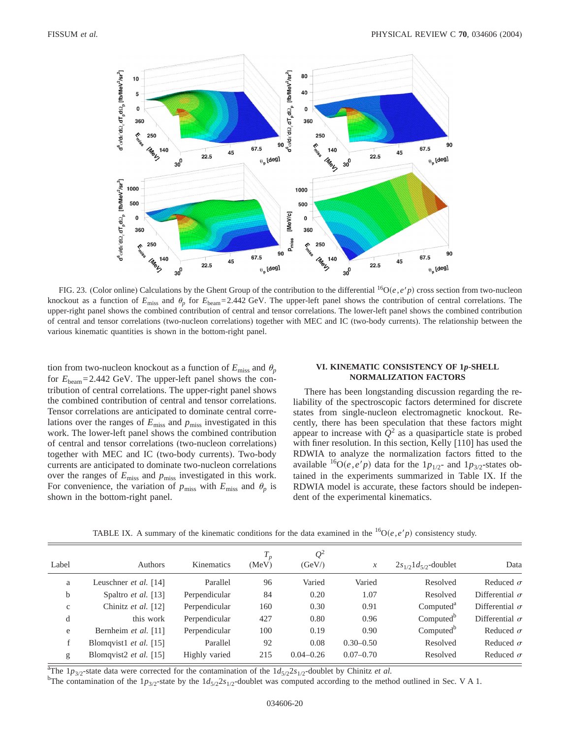

FIG. 23. (Color online) Calculations by the Ghent Group of the contribution to the differential  ${}^{16}O(e, e'p)$  cross section from two-nucleon knockout as a function of  $E_{\text{miss}}$  and  $\theta_p$  for  $E_{\text{beam}} = 2.442 \text{ GeV}$ . The upper-left panel shows the contribution of central correlations. The upper-right panel shows the combined contribution of central and tensor correlations. The lower-left panel shows the combined contribution of central and tensor correlations (two-nucleon correlations) together with MEC and IC (two-body currents). The relationship between the various kinematic quantities is shown in the bottom-right panel.

tion from two-nucleon knockout as a function of  $E_{\text{miss}}$  and  $\theta_p$ for  $E_{\text{beam}}$ =2.442 GeV. The upper-left panel shows the contribution of central correlations. The upper-right panel shows the combined contribution of central and tensor correlations. Tensor correlations are anticipated to dominate central correlations over the ranges of  $E_{\text{miss}}$  and  $p_{\text{miss}}$  investigated in this work. The lower-left panel shows the combined contribution of central and tensor correlations (two-nucleon correlations) together with MEC and IC (two-body currents). Two-body currents are anticipated to dominate two-nucleon correlations over the ranges of  $E_{\text{miss}}$  and  $p_{\text{miss}}$  investigated in this work. For convenience, the variation of  $p_{\text{miss}}$  with  $E_{\text{miss}}$  and  $\theta_p$  is shown in the bottom-right panel.

### **VI. KINEMATIC CONSISTENCY OF 1***p***-SHELL NORMALIZATION FACTORS**

There has been longstanding discussion regarding the reliability of the spectroscopic factors determined for discrete states from single-nucleon electromagnetic knockout. Recently, there has been speculation that these factors might appear to increase with  $Q^2$  as a quasiparticle state is probed with finer resolution. In this section, Kelly [110] has used the RDWIA to analyze the normalization factors fitted to the available <sup>16</sup>O(*e*,*e'p*) data for the  $1p_{1/2}$ - and  $1p_{3/2}$ -states obtained in the experiments summarized in Table IX. If the RDWIA model is accurate, these factors should be independent of the experimental kinematics.

|              |                          |               |                | $Q^2$         |               |                             |                       |
|--------------|--------------------------|---------------|----------------|---------------|---------------|-----------------------------|-----------------------|
| Label        | Authors                  | Kinematics    | $T_p$<br>(MeV) | (GeV)         | $\mathcal{X}$ | $2s_{1/2}1d_{5/2}$ -doublet | Data                  |
| a            | Leuschner et al. [14]    | Parallel      | 96             | Varied        | Varied        | Resolved                    | Reduced $\sigma$      |
| b            | Spaltro et al. [13]      | Perpendicular | 84             | 0.20          | 1.07          | Resolved                    | Differential $\sigma$ |
| $\mathbf{C}$ | Chinitz et al. [12]      | Perpendicular | 160            | 0.30          | 0.91          | Computed <sup>a</sup>       | Differential $\sigma$ |
| d            | this work                | Perpendicular | 427            | 0.80          | 0.96          | Computed <sup>b</sup>       | Differential $\sigma$ |
| e            | Bernheim et al. [11]     | Perpendicular | 100            | 0.19          | 0.90          | Computed <sup>b</sup>       | Reduced $\sigma$      |
| f            | Blomqvist1 et al. $[15]$ | Parallel      | 92             | 0.08          | $0.30 - 0.50$ | Resolved                    | Reduced $\sigma$      |
| g            | Blomqvist2 et al. $[15]$ | Highly varied | 215            | $0.04 - 0.26$ | $0.07 - 0.70$ | Resolved                    | Reduced $\sigma$      |

TABLE IX. A summary of the kinematic conditions for the data examined in the  ${}^{16}O(e,e'p)$  consistency study.

<sup>a</sup>The 1*p*<sub>3/2</sub>-state data were corrected for the contamination of the  $1d_{5/2}$ 2*s*<sub>1/2</sub>-doublet by Chinitz *et al.* by the contamination of the 1*n*<sub>1</sub> state by the 1*d*<sub>2</sub><sup>2</sup><sub>c</sub> doublet we computed according to the me

<sup>b</sup>The contamination of the  $1p_{3/2}$ -state by the  $1d_{5/2}2s_{1/2}$ -doublet was computed according to the method outlined in Sec. V A 1.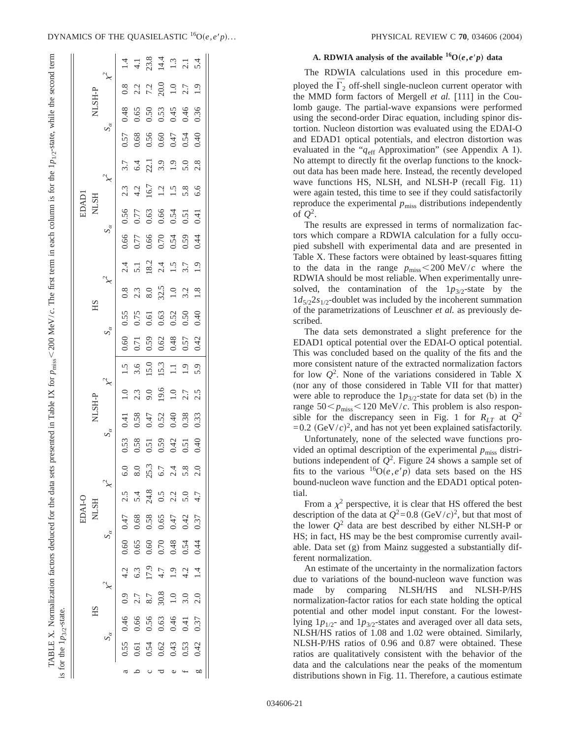ŠI.

|        |               |              |               |           |      | $14.78$<br>$45.84$<br>$14.3$<br>$14.3$<br>$14.3$<br>$14.4$                                                                                                                                                                                                                                                                                       |                        |          |         |
|--------|---------------|--------------|---------------|-----------|------|--------------------------------------------------------------------------------------------------------------------------------------------------------------------------------------------------------------------------------------------------------------------------------------------------------------------------------------------------|------------------------|----------|---------|
|        | NLSH-P        |              |               |           |      | $\begin{array}{c} 0.8 \\ 2.1 \\ 7.2 \\ 20.0 \\ 1.9 \\ \end{array}$                                                                                                                                                                                                                                                                               |                        |          |         |
|        |               |              | 0.48          |           |      | $0.50$<br>$0.50$<br>$0.45$<br>$0.46$                                                                                                                                                                                                                                                                                                             |                        |          | 0.36    |
|        |               | $S_{\alpha}$ |               |           |      | 57<br>0.68<br>0.60<br>0.50<br>0.50<br>0.50                                                                                                                                                                                                                                                                                                       |                        |          |         |
|        |               |              |               |           |      | $\begin{array}{c} 7.7 \\ 0.4 \\ 0.21 \\ 0.3 \\ 0.9 \\ 0.9 \\ 0.9 \\ 0.8 \\ 0.8 \\ \end{array}$                                                                                                                                                                                                                                                   |                        |          |         |
|        |               |              |               |           |      | $2.3$<br>$4.2$<br>$16.7$<br>$1.2$                                                                                                                                                                                                                                                                                                                | $1.\overline{5}$       | $5.8\,$  | 6.6     |
|        | EDADI<br>NLSH |              |               |           |      | 9.56<br>0.57<br>0.66<br>0.51<br>0.41<br>0.41                                                                                                                                                                                                                                                                                                     |                        |          |         |
|        |               | $S_{\alpha}$ |               |           |      |                                                                                                                                                                                                                                                                                                                                                  |                        |          |         |
|        |               |              |               |           |      |                                                                                                                                                                                                                                                                                                                                                  |                        |          |         |
|        |               |              | $0.8\,$       |           |      | $2.3$<br>8.0<br>$32.5$<br>1.0                                                                                                                                                                                                                                                                                                                    |                        | $3.2\,$  | $1.8$   |
|        | HS            |              |               |           |      | $\begin{array}{c} 0.55 \\ 0.75 \\ 0.61 \\ 0.63 \\ 0.52 \\ 0.50 \end{array}$                                                                                                                                                                                                                                                                      |                        |          | 0.40    |
|        |               | $S_{\alpha}$ |               |           |      | $\begin{array}{c} 660 \\ -1500 \\ -1500 \\ -1500 \\ -1500 \\ -1500 \\ -1500 \\ -1500 \\ -1500 \\ -1500 \\ -1500 \\ -1500 \\ -1500 \\ -1500 \\ -1500 \\ -1500 \\ -1500 \\ -1500 \\ -1500 \\ -1500 \\ -1500 \\ -1500 \\ -1500 \\ -1500 \\ -1500 \\ -1500 \\ -1500 \\ -1500 \\ -1500 \\ -1500 \\ -1500 \\ -1500 \\ -1500 \\ -1500 \\ -1500 \\ -150$ |                        |          |         |
|        |               |              | $1.5$         |           |      | $\begin{array}{c} 3.6 \\ 15.0 \\ 15.3 \\ \end{array}$                                                                                                                                                                                                                                                                                            |                        | $1.9$    | 5.9     |
|        |               |              | $\ddot{=}$    | 2.3       |      | $9.0$<br>19.6                                                                                                                                                                                                                                                                                                                                    | $1.0\,$                | 2.7      | 2.5     |
|        | NLSH-P        |              | 0.41          |           |      | $\begin{array}{c} 0.58 \\ 0.47 \\ 0.52 \\ 0.40 \\ 0.33 \\ \end{array}$                                                                                                                                                                                                                                                                           |                        |          |         |
|        |               | $S_{\alpha}$ |               |           |      | $0.53$<br>$0.53$<br>$0.53$<br>$0.54$<br>$0.54$<br>$0.54$<br>$0.54$                                                                                                                                                                                                                                                                               |                        |          |         |
|        |               |              | 6.0           | $\rm 8.0$ | 25.3 | $6.7\,$                                                                                                                                                                                                                                                                                                                                          | 2.4                    | 5.8      | $\circ$ |
| EDAI-O |               |              | 2.5           | 5.4       | 24.8 | 0.5                                                                                                                                                                                                                                                                                                                                              | 2.2                    | 5.0      | 4.7     |
|        | <b>NLSH</b>   |              | 0.47          | $0.68\,$  |      | $0.58$<br>$0.65$<br>$0.47$                                                                                                                                                                                                                                                                                                                       |                        | 0.42     | 0.37    |
|        |               |              | 0.60          | 0.65      | 0.60 |                                                                                                                                                                                                                                                                                                                                                  | $0.70$<br>0.48<br>0.54 |          | 0.44    |
|        |               |              | $\frac{1}{4}$ | 6.3       | 17.9 | $4.7\,$                                                                                                                                                                                                                                                                                                                                          | 1.9                    | 4.2      | 1.4     |
|        | HS            |              | 0.9           | 2.7       |      | $\begin{array}{c} 8.7 \\ 30.8 \\ 1.0 \end{array}$                                                                                                                                                                                                                                                                                                |                        | 3.0      | 2.0     |
|        |               |              | 0.46          | 0.61 0.66 | 0.56 | 0.63                                                                                                                                                                                                                                                                                                                                             | 0.46                   | $0.41\,$ | 0.37    |
|        |               |              | 0.55          |           | 0.54 | 0.62                                                                                                                                                                                                                                                                                                                                             | $0.43$<br>0.53         |          | 0.42    |
|        |               |              |               |           |      |                                                                                                                                                                                                                                                                                                                                                  |                        |          | bО      |

# **A. RDWIA analysis of the available**  ${}^{16}O(e,e'p)$  **data**

The RDWIA calculations used in this procedure employed the  $\overline{\Gamma}_2$  off-shell single-nucleon current operator with the MMD form factors of Mergell *et al.* [111] in the Coulomb gauge. The partial-wave expansions were performed using the second-order Dirac equation, including spinor distortion. Nucleon distortion was evaluated using the EDAI-O and EDAD1 optical potentials, and electron distortion was evaluated in the " $q_{\text{eff}}$  Approximation" (see Appendix A 1). No attempt to directly fit the overlap functions to the knockout data has been made here. Instead, the recently developed wave functions HS, NLSH, and NLSH-P (recall Fig. 11) were again tested, this time to see if they could satisfactorily reproduce the experimental  $p_{\text{miss}}$  distributions independently of  $Q^2$ .

The results are expressed in terms of normalization factors which compare a RDWIA calculation for a fully occupied subshell with experimental data and are presented in Table X. These factors were obtained by least-squares fitting to the data in the range  $p_{\text{miss}} < 200 \text{ MeV}/c$  where the RDWIA should be most reliable. When experimentally unresolved, the contamination of the  $1p_{3/2}$ -state by the  $1d_{5/2}2s_{1/2}$ -doublet was included by the incoherent summation of the parametrizations of Leuschner *et al.* as previously described.

The data sets demonstrated a slight preference for the EDAD1 optical potential over the EDAI-O optical potential. This was concluded based on the quality of the fits and the more consistent nature of the extracted normalization factors for low *Q*<sup>2</sup> . None of the variations considered in Table X (nor any of those considered in Table VII for that matter) were able to reproduce the  $1p_{3/2}$ -state for data set (b) in the range  $50 < p_{\text{miss}} < 120$  MeV/*c*. This problem is also responsible for the discrepancy seen in Fig. 1 for  $R_{LT}$  at  $Q^2$  $=0.2$  (GeV/*c*)<sup>2</sup>, and has not yet been explained satisfactorily.

Unfortunately, none of the selected wave functions provided an optimal description of the experimental  $p_{\text{miss}}$  distributions independent of  $Q^2$ . Figure 24 shows a sample set of fits to the various  $^{16}O(e,e^{\prime}p)$  data sets based on the HS bound-nucleon wave function and the EDAD1 optical potential.

From a  $\chi^2$  perspective, it is clear that HS offered the best description of the data at  $Q^2 = 0.8$  (GeV/*c*)<sup>2</sup>, but that most of the lower  $Q^2$  data are best described by either NLSH-P or HS; in fact, HS may be the best compromise currently available. Data set (g) from Mainz suggested a substantially different normalization.

An estimate of the uncertainty in the normalization factors due to variations of the bound-nucleon wave function was made by comparing NLSH/HS and NLSH-P/HS normalization-factor ratios for each state holding the optical potential and other model input constant. For the lowestlying  $1p_{1/2}$ - and  $1p_{3/2}$ -states and averaged over all data sets, NLSH/HS ratios of 1.08 and 1.02 were obtained. Similarly, NLSH-P/HS ratios of 0.96 and 0.87 were obtained. These ratios are qualitatively consistent with the behavior of the data and the calculations near the peaks of the momentum distributions shown in Fig. 11. Therefore, a cautious estimate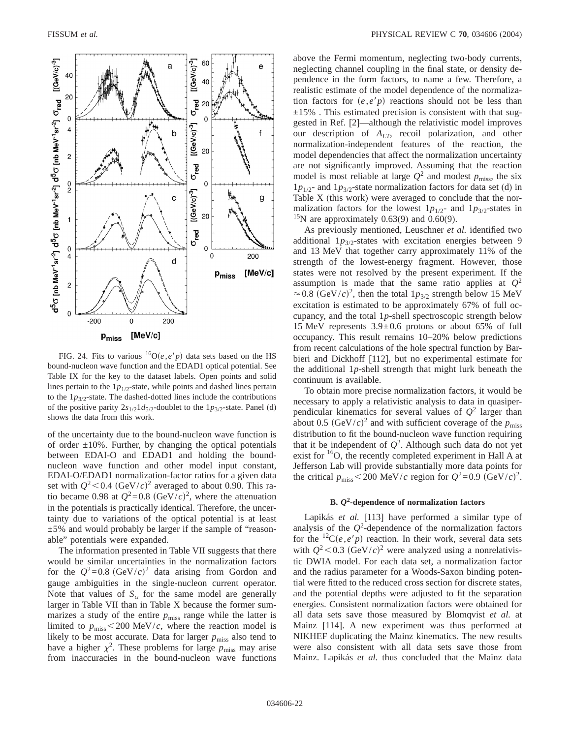

FIG. 24. Fits to various  ${}^{16}O(e,e'p)$  data sets based on the HS bound-nucleon wave function and the EDAD1 optical potential. See Table IX for the key to the dataset labels. Open points and solid lines pertain to the  $1p_{1/2}$ -state, while points and dashed lines pertain to the  $1p_{3/2}$ -state. The dashed-dotted lines include the contributions of the positive parity  $2s_{1/2}1d_{5/2}$ -doublet to the  $1p_{3/2}$ -state. Panel (d) shows the data from this work.

of the uncertainty due to the bound-nucleon wave function is of order  $\pm 10\%$ . Further, by changing the optical potentials between EDAI-O and EDAD1 and holding the boundnucleon wave function and other model input constant, EDAI-O/EDAD1 normalization-factor ratios for a given data set with  $Q^2$  < 0.4  $(GeV/c)^2$  averaged to about 0.90. This ratio became 0.98 at  $Q^2 = 0.8$  (GeV/*c*)<sup>2</sup>, where the attenuation in the potentials is practically identical. Therefore, the uncertainty due to variations of the optical potential is at least  $\pm$  5% and would probably be larger if the sample of "reasonable" potentials were expanded.

The information presented in Table VII suggests that there would be similar uncertainties in the normalization factors for the  $Q^2 = 0.8$  (GeV/*c*)<sup>2</sup> data arising from Gordon and gauge ambiguities in the single-nucleon current operator. Note that values of  $S_\alpha$  for the same model are generally larger in Table VII than in Table X because the former summarizes a study of the entire  $p_{\text{miss}}$  range while the latter is limited to  $p_{\text{miss}}$  < 200 MeV/*c*, where the reaction model is likely to be most accurate. Data for larger  $p_{\text{miss}}$  also tend to have a higher  $\chi^2$ . These problems for large  $p_{\text{miss}}$  may arise from inaccuracies in the bound-nucleon wave functions above the Fermi momentum, neglecting two-body currents, neglecting channel coupling in the final state, or density dependence in the form factors, to name a few. Therefore, a realistic estimate of the model dependence of the normalization factors for  $(e, e'p)$  reactions should not be less than  $\pm 15$ %. This estimated precision is consistent with that suggested in Ref. [2]—although the relativistic model improves our description of *A<sub>LT</sub>*, recoil polarization, and other normalization-independent features of the reaction, the model dependencies that affect the normalization uncertainty are not significantly improved. Assuming that the reaction model is most reliable at large  $Q^2$  and modest  $p_{\text{miss}}$ , the six  $1p_{1/2}$ - and  $1p_{3/2}$ -state normalization factors for data set (d) in Table X (this work) were averaged to conclude that the normalization factors for the lowest  $1p_{1/2}$ - and  $1p_{3/2}$ -states in <sup>15</sup>N are approximately 0.63(9) and 0.60(9).

As previously mentioned, Leuschner *et al.* identified two additional  $1p_{3/2}$ -states with excitation energies between 9 and 13 MeV that together carry approximately 11% of the strength of the lowest-energy fragment. However, those states were not resolved by the present experiment. If the assumption is made that the same ratio applies at  $Q^2$  $\approx$  0.8 (GeV/*c*)<sup>2</sup>, then the total 1*p*<sub>3/2</sub> strength below 15 MeV excitation is estimated to be approximately 67% of full occupancy, and the total 1*p*-shell spectroscopic strength below 15 MeV represents 3.9±0.6 protons or about 65% of full occupancy. This result remains 10–20% below predictions from recent calculations of the hole spectral function by Barbieri and Dickhoff [112], but no experimental estimate for the additional 1*p*-shell strength that might lurk beneath the continuum is available.

To obtain more precise normalization factors, it would be necessary to apply a relativistic analysis to data in quasiperpendicular kinematics for several values of  $Q^2$  larger than about 0.5  $(GeV/c)^2$  and with sufficient coverage of the  $p_{\text{miss}}$ distribution to fit the bound-nucleon wave function requiring that it be independent of  $Q^2$ . Although such data do not yet exist for <sup>16</sup>O, the recently completed experiment in Hall A at Jefferson Lab will provide substantially more data points for the critical  $p_{\text{miss}} < 200 \text{ MeV}/c$  region for  $Q^2 = 0.9 \text{ (GeV}/c)^2$ .

# **B.** *Q***2-dependence of normalization factors**

Lapikás *et al.* [113] have performed a similar type of analysis of the  $Q^2$ -dependence of the normalization factors for the  ${}^{12}C(e,e'p)$  reaction. In their work, several data sets with  $Q^2$  < 0.3 (GeV/*c*)<sup>2</sup> were analyzed using a nonrelativistic DWIA model. For each data set, a normalization factor and the radius parameter for a Woods-Saxon binding potential were fitted to the reduced cross section for discrete states, and the potential depths were adjusted to fit the separation energies. Consistent normalization factors were obtained for all data sets save those measured by Blomqvist *et al.* at Mainz [114]. A new experiment was thus performed at NIKHEF duplicating the Mainz kinematics. The new results were also consistent with all data sets save those from Mainz. Lapikás *et al.* thus concluded that the Mainz data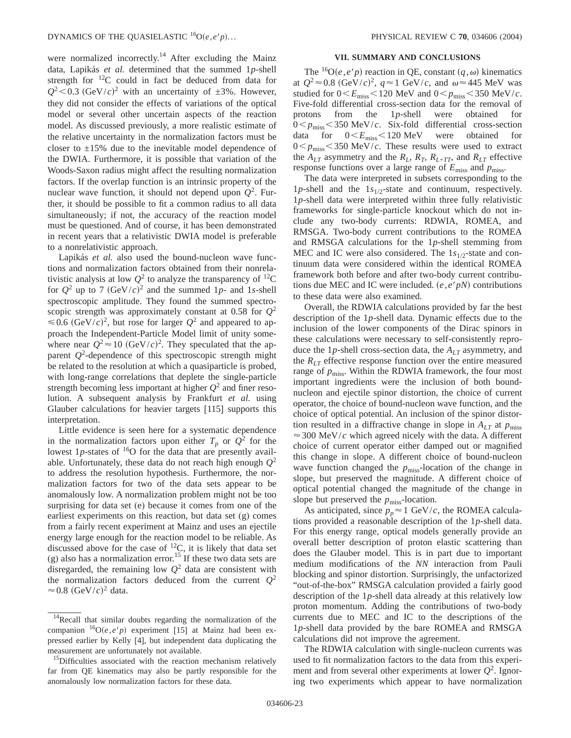were normalized incorrectly.<sup>14</sup> After excluding the Mainz data, Lapikás *et al.* determined that the summed 1*p*-shell strength for  $^{12}$ C could in fact be deduced from data for  $Q^2$  < 0.3 (GeV/*c*)<sup>2</sup> with an uncertainty of  $\pm 3$ %. However, they did not consider the effects of variations of the optical model or several other uncertain aspects of the reaction model. As discussed previously, a more realistic estimate of the relative uncertainty in the normalization factors must be closer to  $\pm 15\%$  due to the inevitable model dependence of the DWIA. Furthermore, it is possible that variation of the Woods-Saxon radius might affect the resulting normalization factors. If the overlap function is an intrinsic property of the nuclear wave function, it should not depend upon  $Q^2$ . Further, it should be possible to fit a common radius to all data simultaneously; if not, the accuracy of the reaction model must be questioned. And of course, it has been demonstrated in recent years that a relativistic DWIA model is preferable to a nonrelativistic approach.

Lapikás *et al.* also used the bound-nucleon wave functions and normalization factors obtained from their nonrelativistic analysis at low  $Q^2$  to analyze the transparency of <sup>12</sup>C for  $Q^2$  up to 7 (GeV/*c*)<sup>2</sup> and the summed 1*p*- and 1*s*-shell spectroscopic amplitude. They found the summed spectroscopic strength was approximately constant at 0.58 for  $Q^2$  $\leq 0.6$  (GeV/*c*)<sup>2</sup>, but rose for larger  $Q^2$  and appeared to approach the Independent-Particle Model limit of unity somewhere near  $Q^2 \approx 10 \; (\text{GeV}/c)^2$ . They speculated that the apparent *Q*<sup>2</sup> -dependence of this spectroscopic strength might be related to the resolution at which a quasiparticle is probed, with long-range correlations that deplete the single-particle strength becoming less important at higher  $Q^2$  and finer resolution. A subsequent analysis by Frankfurt *et al.* using Glauber calculations for heavier targets [115] supports this interpretation.

Little evidence is seen here for a systematic dependence in the normalization factors upon either  $T_p$  or  $Q^2$  for the lowest 1p-states of <sup>16</sup>O for the data that are presently available. Unfortunately, these data do not reach high enough  $Q^2$ to address the resolution hypothesis. Furthermore, the normalization factors for two of the data sets appear to be anomalously low. A normalization problem might not be too surprising for data set (e) because it comes from one of the earliest experiments on this reaction, but data set (g) comes from a fairly recent experiment at Mainz and uses an ejectile energy large enough for the reaction model to be reliable. As discussed above for the case of  $^{12}C$ , it is likely that data set (g) also has a normalization error.<sup>15</sup> If these two data sets are disregarded, the remaining low  $Q^2$  data are consistent with the normalization factors deduced from the current  $Q^2$  $\approx$  0.8 (GeV/*c*)<sup>2</sup> data.

### **VII. SUMMARY AND CONCLUSIONS**

The <sup>16</sup>O(*e*,*e'p*) reaction in QE, constant  $(q, \omega)$  kinematics at  $Q^2 \approx 0.8 \text{ (GeV/}c)^2$ ,  $q \approx 1 \text{ GeV/}c$ , and  $\omega \approx 445 \text{ MeV}$  was studied for  $0 < E_{\text{miss}} < 120 \text{ MeV}$  and  $0 < p_{\text{miss}} < 350 \text{ MeV}/c$ . Five-fold differential cross-section data for the removal of protons from the 1*p*-shell were obtained for  $0 < p_{\text{miss}} < 350 \text{ MeV}/c$ . Six-fold differential cross-section data for  $0 \le E_{\text{miss}} \le 120 \text{ MeV}$  were obtained for  $0 < p_{\text{miss}} < 350 \text{ MeV}/c$ . These results were used to extract the  $A_{LT}$  asymmetry and the  $R_L$ ,  $R_T$ ,  $R_{L+TT}$ , and  $R_{LT}$  effective response functions over a large range of  $E_{\text{miss}}$  and  $p_{\text{miss}}$ .

The data were interpreted in subsets corresponding to the 1*p*-shell and the 1*s*1/2-state and continuum, respectively. 1*p*-shell data were interpreted within three fully relativistic frameworks for single-particle knockout which do not include any two-body currents: RDWIA, ROMEA, and RMSGA. Two-body current contributions to the ROMEA and RMSGA calculations for the 1*p*-shell stemming from MEC and IC were also considered. The  $1s_{1/2}$ -state and continuum data were considered within the identical ROMEA framework both before and after two-body current contributions due MEC and IC were included.  $(e, e'p)$  contributions to these data were also examined.

Overall, the RDWIA calculations provided by far the best description of the 1*p*-shell data. Dynamic effects due to the inclusion of the lower components of the Dirac spinors in these calculations were necessary to self-consistently reproduce the 1*p*-shell cross-section data, the *ALT* asymmetry, and the  $R_{LT}$  effective response function over the entire measured range of  $p_{\text{miss}}$ . Within the RDWIA framework, the four most important ingredients were the inclusion of both boundnucleon and ejectile spinor distortion, the choice of current operator, the choice of bound-nucleon wave function, and the choice of optical potential. An inclusion of the spinor distortion resulted in a diffractive change in slope in  $A_{LT}$  at  $p_{\text{miss}}$  $\approx$  300 MeV/*c* which agreed nicely with the data. A different choice of current operator either damped out or magnified this change in slope. A different choice of bound-nucleon wave function changed the *p*<sub>miss</sub>-location of the change in slope, but preserved the magnitude. A different choice of optical potential changed the magnitude of the change in slope but preserved the  $p_{\text{miss}}$ -location.

As anticipated, since  $p_p \approx 1$  GeV/*c*, the ROMEA calculations provided a reasonable description of the 1*p*-shell data. For this energy range, optical models generally provide an overall better description of proton elastic scattering than does the Glauber model. This is in part due to important medium modifications of the *NN* interaction from Pauli blocking and spinor distortion. Surprisingly, the unfactorized "out-of-the-box" RMSGA calculation provided a fairly good description of the 1*p*-shell data already at this relatively low proton momentum. Adding the contributions of two-body currents due to MEC and IC to the descriptions of the 1*p*-shell data provided by the bare ROMEA and RMSGA calculations did not improve the agreement.

The RDWIA calculation with single-nucleon currents was used to fit normalization factors to the data from this experiment and from several other experiments at lower  $Q^2$ . Ignoring two experiments which appear to have normalization

<sup>&</sup>lt;sup>14</sup>Recall that similar doubts regarding the normalization of the companion  ${}^{16}O(e, e'p)$  experiment [15] at Mainz had been expressed earlier by Kelly [4], but independent data duplicating the measurement are unfortunately not available.

<sup>&</sup>lt;sup>15</sup>Difficulties associated with the reaction mechanism relatively far from QE kinematics may also be partly responsible for the anomalously low normalization factors for these data.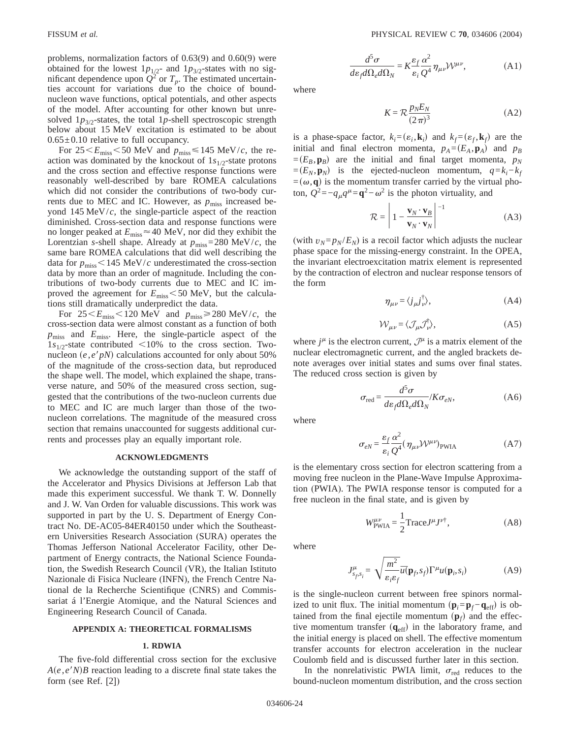problems, normalization factors of 0.63(9) and 0.60(9) were obtained for the lowest  $1p_{1/2}$ - and  $1p_{3/2}$ -states with no significant dependence upon  $Q^2$  or  $T_p$ . The estimated uncertainties account for variations due to the choice of boundnucleon wave functions, optical potentials, and other aspects of the model. After accounting for other known but unresolved  $1p_{3/2}$ -states, the total 1p-shell spectroscopic strength below about 15 MeV excitation is estimated to be about  $0.65 \pm 0.10$  relative to full occupancy.

For  $25\leq E_{\text{miss}}\leq50$  MeV and  $p_{\text{miss}}\leq145$  MeV/*c*, the reaction was dominated by the knockout of  $1s_{1/2}$ -state protons and the cross section and effective response functions were reasonably well-described by bare ROMEA calculations which did not consider the contributions of two-body currents due to MEC and IC. However, as  $p_{\text{miss}}$  increased beyond 145 MeV/*c*, the single-particle aspect of the reaction diminished. Cross-section data and response functions were no longer peaked at  $E_{\text{miss}} \approx 40 \text{ MeV}$ , nor did they exhibit the Lorentzian *s*-shell shape. Already at  $p_{\text{miss}} = 280 \text{ MeV}/c$ , the same bare ROMEA calculations that did well describing the data for  $p_{\text{miss}}$  < 145 MeV/*c* underestimated the cross-section data by more than an order of magnitude. Including the contributions of two-body currents due to MEC and IC improved the agreement for  $E_{\text{miss}}$  < 50 MeV, but the calculations still dramatically underpredict the data.

For  $25 \le E_{\text{miss}} \le 120 \text{ MeV}$  and  $p_{\text{miss}} \ge 280 \text{ MeV}/c$ , the cross-section data were almost constant as a function of both *p*miss and *E*miss. Here, the single-particle aspect of the  $1s_{1/2}$ -state contributed <10% to the cross section. Twonucleon  $(e, e'p)$  calculations accounted for only about 50% of the magnitude of the cross-section data, but reproduced the shape well. The model, which explained the shape, transverse nature, and 50% of the measured cross section, suggested that the contributions of the two-nucleon currents due to MEC and IC are much larger than those of the twonucleon correlations. The magnitude of the measured cross section that remains unaccounted for suggests additional currents and processes play an equally important role.

### **ACKNOWLEDGMENTS**

We acknowledge the outstanding support of the staff of the Accelerator and Physics Divisions at Jefferson Lab that made this experiment successful. We thank T. W. Donnelly and J. W. Van Orden for valuable discussions. This work was supported in part by the U. S. Department of Energy Contract No. DE-AC05-84ER40150 under which the Southeastern Universities Research Association (SURA) operates the Thomas Jefferson National Accelerator Facility, other Department of Energy contracts, the National Science Foundation, the Swedish Research Council (VR), the Italian Istituto Nazionale di Fisica Nucleare (INFN), the French Centre National de la Recherche Scientifique (CNRS) and Commissariat á l'Energie Atomique, and the Natural Sciences and Engineering Research Council of Canada.

### **APPENDIX A: THEORETICAL FORMALISMS**

### **1. RDWIA**

The five-fold differential cross section for the exclusive  $A(e, e^t N)B$  reaction leading to a discrete final state takes the form (see Ref. [2])

$$
\frac{d^5\sigma}{d\varepsilon_f d\Omega_e d\Omega_N} = K \frac{\varepsilon_f}{\varepsilon_i} \frac{\alpha^2}{Q^4} \eta_{\mu\nu} \mathcal{W}^{\mu\nu},\tag{A1}
$$

where

$$
K = \mathcal{R} \frac{p_N E_N}{(2\pi)^3} \tag{A2}
$$

is a phase-space factor,  $k_i = (\varepsilon_i, \mathbf{k}_i)$  and  $k_f = (\varepsilon_f, \mathbf{k}_f)$  are the initial and final electron momenta,  $p_A = (E_A, \mathbf{p}_A)$  and  $p_B$  $=(E_B, \mathbf{p}_B)$  are the initial and final target momenta,  $p_N$  $=(E_N, \mathbf{p}_N)$  is the ejected-nucleon momentum,  $q=k_i-k_f$  $=(\omega, \mathbf{q})$  is the momentum transfer carried by the virtual photon,  $Q^2 = -q_\mu q^\mu = \mathbf{q}^2 - \omega^2$  is the photon virtuality, and

$$
\mathcal{R} = \left| 1 - \frac{\mathbf{v}_N \cdot \mathbf{v}_B}{\mathbf{v}_N \cdot \mathbf{v}_N} \right|^{-1}
$$
 (A3)

(with  $v_N = p_N/E_N$ ) is a recoil factor which adjusts the nuclear phase space for the missing-energy constraint. In the OPEA, the invariant electroexcitation matrix element is represented by the contraction of electron and nuclear response tensors of the form

$$
\eta_{\mu\nu} = \langle j_{\mu} j_{\nu}^{\dagger} \rangle, \tag{A4}
$$

$$
W_{\mu\nu} = \langle \mathcal{J}_{\mu} \mathcal{J}_{\nu}^{\dagger} \rangle, \tag{A5}
$$

where  $j^{\mu}$  is the electron current,  $\mathcal{J}^{\mu}$  is a matrix element of the nuclear electromagnetic current, and the angled brackets denote averages over initial states and sums over final states. The reduced cross section is given by

$$
\sigma_{\text{red}} = \frac{d^5 \sigma}{d\varepsilon_f d\Omega_e d\Omega_N} / K \sigma_{eN},\tag{A6}
$$

where

$$
\sigma_{eN} = \frac{\varepsilon_f}{\varepsilon_i} \frac{\alpha^2}{Q^4} (\eta_{\mu\nu} \mathcal{W}^{\mu\nu})_{\text{PWIA}} \tag{A7}
$$

is the elementary cross section for electron scattering from a moving free nucleon in the Plane-Wave Impulse Approximation (PWIA). The PWIA response tensor is computed for a free nucleon in the final state, and is given by

$$
W^{\mu\nu}_{\text{PWIA}} = \frac{1}{2} \text{Trace} J^{\mu} J^{\nu \dagger}, \tag{A8}
$$

where

$$
J_{s_f,s_i}^{\mu} = \sqrt{\frac{m^2}{\varepsilon_i \varepsilon_f}} \overline{u}(\mathbf{p}_f,s_f) \Gamma^{\mu} u(\mathbf{p}_i,s_i)
$$
 (A9)

is the single-nucleon current between free spinors normalized to unit flux. The initial momentum  $(\mathbf{p}_i = \mathbf{p}_f - \mathbf{q}_{\text{eff}})$  is obtained from the final ejectile momentum  $(\mathbf{p}_f)$  and the effective momentum transfer  $(q_{\text{eff}})$  in the laboratory frame, and the initial energy is placed on shell. The effective momentum transfer accounts for electron acceleration in the nuclear Coulomb field and is discussed further later in this section.

In the nonrelativistic PWIA limit,  $\sigma_{\text{red}}$  reduces to the bound-nucleon momentum distribution, and the cross section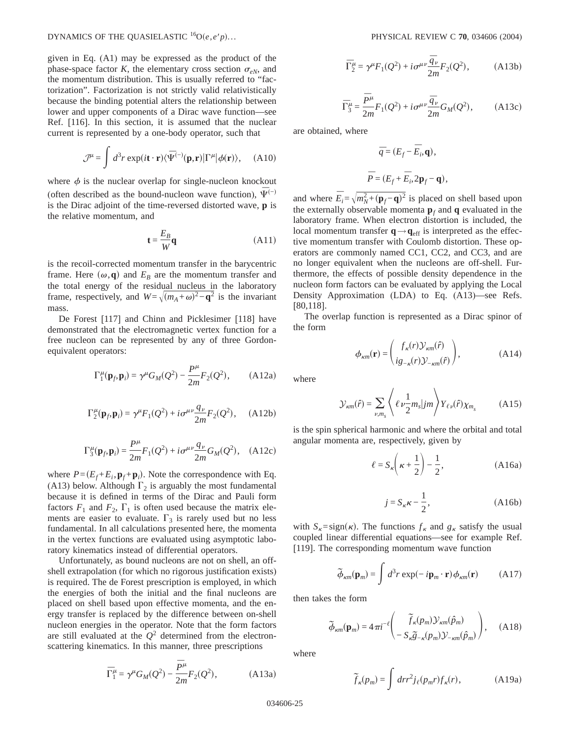given in Eq. (A1) may be expressed as the product of the phase-space factor *K*, the elementary cross section  $\sigma_{eN}$ , and the momentum distribution. This is usually referred to "factorization". Factorization is not strictly valid relativistically because the binding potential alters the relationship between lower and upper components of a Dirac wave function—see Ref. [116]. In this section, it is assumed that the nuclear current is represented by a one-body operator, such that

$$
\mathcal{J}^{\mu} = \int d^{3}r \exp(i\mathbf{t} \cdot \mathbf{r}) \langle \bar{\Psi}^{(-)}(\mathbf{p}, \mathbf{r}) | \Gamma^{\mu} | \phi(\mathbf{r}) \rangle, \quad (A10)
$$

where  $\phi$  is the nuclear overlap for single-nucleon knockout (often described as the bound-nucleon wave function),  $\bar{\Psi}^{(-)}$ is the Dirac adjoint of the time-reversed distorted wave, **p** is the relative momentum, and

$$
\mathbf{t} = \frac{E_B}{W}\mathbf{q} \tag{A11}
$$

is the recoil-corrected momentum transfer in the barycentric frame. Here  $(\omega, \mathbf{q})$  and  $E_B$  are the momentum transfer and the total energy of the residual nucleus in the laboratory frame, respectively, and  $W = \sqrt{(m_A + \omega)^2 - q^2}$  is the invariant mass.

De Forest [117] and Chinn and Picklesimer [118] have demonstrated that the electromagnetic vertex function for a free nucleon can be represented by any of three Gordonequivalent operators:

$$
\Gamma_1^{\mu}(\mathbf{p}_f, \mathbf{p}_i) = \gamma^{\mu} G_M(Q^2) - \frac{P^{\mu}}{2m} F_2(Q^2), \quad (A12a)
$$

$$
\Gamma_2^{\mu}(\mathbf{p}_f, \mathbf{p}_i) = \gamma^{\mu} F_1(Q^2) + i \sigma^{\mu \nu} \frac{q_{\nu}}{2m} F_2(Q^2), \quad \text{(A12b)}
$$

$$
\Gamma_3^{\mu}(\mathbf{p}_f, \mathbf{p}_i) = \frac{P^{\mu}}{2m} F_1(Q^2) + i \sigma^{\mu \nu} \frac{q_{\nu}}{2m} G_M(Q^2), \quad \text{(A12c)}
$$

where  $P = (E_f + E_i, \mathbf{p}_f + \mathbf{p}_i)$ . Note the correspondence with Eq. (A13) below. Although  $\Gamma_2$  is arguably the most fundamental because it is defined in terms of the Dirac and Pauli form factors  $F_1$  and  $F_2$ ,  $\Gamma_1$  is often used because the matrix elements are easier to evaluate.  $\Gamma_3$  is rarely used but no less fundamental. In all calculations presented here, the momenta in the vertex functions are evaluated using asymptotic laboratory kinematics instead of differential operators.

Unfortunately, as bound nucleons are not on shell, an offshell extrapolation (for which no rigorous justification exists) is required. The de Forest prescription is employed, in which the energies of both the initial and the final nucleons are placed on shell based upon effective momenta, and the energy transfer is replaced by the difference between on-shell nucleon energies in the operator. Note that the form factors are still evaluated at the  $Q^2$  determined from the electronscattering kinematics. In this manner, three prescriptions

$$
\overline{\Gamma}_{1}^{\mu} = \gamma^{\mu} G_{M}(Q^{2}) - \frac{\overline{P}^{\mu}}{2m} F_{2}(Q^{2}), \qquad (A13a)
$$

$$
\overline{\Gamma}_2^{\mu} = \gamma^{\mu} F_1(Q^2) + i \sigma^{\mu \nu} \frac{\overline{q}_{\nu}}{2m} F_2(Q^2), \quad (A13b)
$$

$$
\bar{\Gamma}_{3}^{\mu} = \frac{\bar{P}^{\mu}}{2m} F_{1}(Q^{2}) + i\sigma^{\mu\nu} \frac{\bar{q}_{\nu}}{2m} G_{M}(Q^{2}), \qquad (A13c)
$$

are obtained, where

$$
\overline{q} = (E_f - \overline{E}_i, \mathbf{q}),
$$
  

$$
\overline{P} = (E_f + \overline{E}_i, 2\mathbf{p}_f - \mathbf{q}),
$$

and where  $\overline{E}_i = \sqrt{m_N^2 + (\mathbf{p}_f - \mathbf{q})^2}$  is placed on shell based upon the externally observable momenta  $\mathbf{p}_f$  and **q** evaluated in the laboratory frame. When electron distortion is included, the local momentum transfer  $\mathbf{q} \rightarrow \mathbf{q}_{\text{eff}}$  is interpreted as the effective momentum transfer with Coulomb distortion. These operators are commonly named CC1, CC2, and CC3, and are no longer equivalent when the nucleons are off-shell. Furthermore, the effects of possible density dependence in the nucleon form factors can be evaluated by applying the Local Density Approximation (LDA) to Eq. (A13)—see Refs. [80,118].

The overlap function is represented as a Dirac spinor of the form

$$
\phi_{\kappa m}(\mathbf{r}) = \begin{pmatrix} f_{\kappa}(r) \mathcal{Y}_{\kappa m}(\hat{r}) \\ i g_{-\kappa}(r) \mathcal{Y}_{-\kappa m}(\hat{r}) \end{pmatrix},
$$
(A14)

where

$$
\mathcal{Y}_{\kappa m}(\hat{r}) = \sum_{\nu, m_s} \left\langle \ell \, \nu \frac{1}{2} m_s | j m \right\rangle Y_{\ell \nu}(\hat{r}) \chi_{m_s} \tag{A15}
$$

is the spin spherical harmonic and where the orbital and total angular momenta are, respectively, given by

$$
\ell = S_{\kappa} \left( \kappa + \frac{1}{2} \right) - \frac{1}{2}, \tag{A16a}
$$

$$
j = S_{\kappa} \kappa - \frac{1}{2}, \qquad (A16b)
$$

with  $S_k = sign(\kappa)$ . The functions  $f_k$  and  $g_k$  satisfy the usual coupled linear differential equations—see for example Ref. [119]. The corresponding momentum wave function

$$
\tilde{\phi}_{\kappa m}(\mathbf{p}_m) = \int d^3 r \exp(-i\mathbf{p}_m \cdot \mathbf{r}) \phi_{\kappa m}(\mathbf{r})
$$
 (A17)

then takes the form

$$
\widetilde{\phi}_{\kappa m}(\mathbf{p}_m) = 4\pi i^{-\ell} \left( \widetilde{f}_{\kappa}(p_m) \mathcal{Y}_{\kappa m}(\hat{p}_m) - S_{\kappa \widetilde{S}-\kappa}(p_m) \mathcal{Y}_{-\kappa m}(\hat{p}_m) \right), \quad (A18)
$$

where

$$
\widetilde{f}_{\kappa}(p_m) = \int dr r^2 j_{\ell}(p_m r) f_{\kappa}(r), \tag{A19a}
$$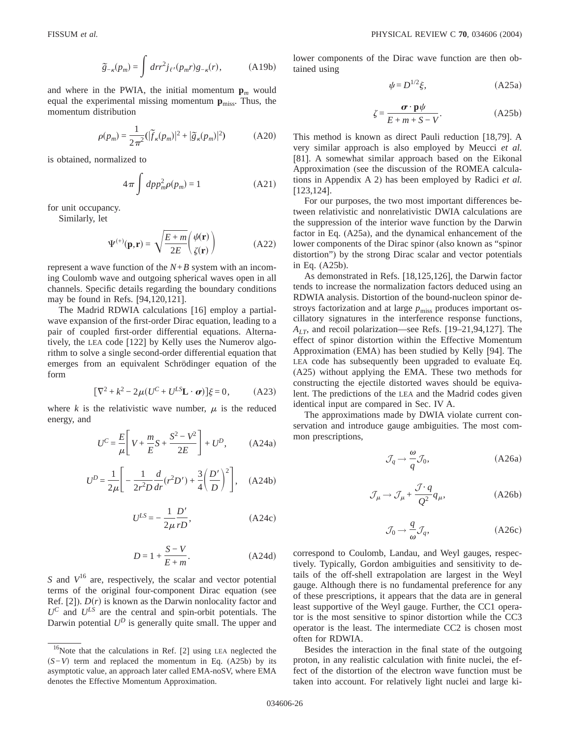$$
\tilde{g}_{-\kappa}(p_m) = \int dr r^2 j_{\ell'}(p_m r) g_{-\kappa}(r), \quad (A19b)
$$

and where in the PWIA, the initial momentum  $\mathbf{p}_m$  would equal the experimental missing momentum  $p_{\text{miss}}$ . Thus, the momentum distribution

$$
\rho(p_m) = \frac{1}{2\pi^2} \left( |\widetilde{f}_\kappa(p_m)|^2 + |\widetilde{g}_\kappa(p_m)|^2 \right) \tag{A20}
$$

is obtained, normalized to

$$
4\pi \int dp p_m^2 \rho(p_m) = 1
$$
 (A21)

for unit occupancy.

Similarly, let

$$
\Psi^{(+)}(\mathbf{p}, \mathbf{r}) = \sqrt{\frac{E + m}{2E}} \begin{pmatrix} \psi(\mathbf{r}) \\ \zeta(\mathbf{r}) \end{pmatrix}
$$
 (A22)

represent a wave function of the *N*+*B* system with an incoming Coulomb wave and outgoing spherical waves open in all channels. Specific details regarding the boundary conditions may be found in Refs. [94,120,121].

The Madrid RDWIA calculations [16] employ a partialwave expansion of the first-order Dirac equation, leading to a pair of coupled first-order differential equations. Alternatively, the LEA code [122] by Kelly uses the Numerov algorithm to solve a single second-order differential equation that emerges from an equivalent Schrödinger equation of the form

$$
[\nabla^2 + k^2 - 2\mu (U^C + U^{LS} \mathbf{L} \cdot \boldsymbol{\sigma})] \xi = 0, \quad (A23)
$$

where  $k$  is the relativistic wave number,  $\mu$  is the reduced energy, and

$$
U^{C} = \frac{E}{\mu} \left[ V + \frac{m}{E} S + \frac{S^{2} - V^{2}}{2E} \right] + U^{D}, \qquad (A24a)
$$

$$
U^{D} = \frac{1}{2\mu} \left[ -\frac{1}{2r^{2}D} \frac{d}{dr} (r^{2}D') + \frac{3}{4} \left( \frac{D'}{D} \right)^{2} \right], \quad (A24b)
$$

$$
U^{LS} = -\frac{1}{2\mu} \frac{D'}{rD},\tag{A24c}
$$

$$
D = 1 + \frac{S - V}{E + m}.\tag{A24d}
$$

*S* and  $V^{16}$  are, respectively, the scalar and vector potential terms of the original four-component Dirac equation (see Ref. [2]).  $D(r)$  is known as the Darwin nonlocality factor and  $U^C$  and  $U^{LS}$  are the central and spin-orbit potentials. The Darwin potential  $U^D$  is generally quite small. The upper and lower components of the Dirac wave function are then obtained using

$$
\psi = D^{1/2}\xi,\tag{A25a}
$$

$$
\zeta = \frac{\boldsymbol{\sigma} \cdot \mathbf{p}\psi}{E + m + S - V}.
$$
 (A25b)

This method is known as direct Pauli reduction [18,79]. A very similar approach is also employed by Meucci *et al.* [81]. A somewhat similar approach based on the Eikonal Approximation (see the discussion of the ROMEA calculations in Appendix A 2) has been employed by Radici *et al.* [123,124].

For our purposes, the two most important differences between relativistic and nonrelativistic DWIA calculations are the suppression of the interior wave function by the Darwin factor in Eq. (A25a), and the dynamical enhancement of the lower components of the Dirac spinor (also known as "spinor distortion") by the strong Dirac scalar and vector potentials in Eq. (A25b).

As demonstrated in Refs. [18,125,126], the Darwin factor tends to increase the normalization factors deduced using an RDWIA analysis. Distortion of the bound-nucleon spinor destroys factorization and at large  $p_{\text{miss}}$  produces important oscillatory signatures in the interference response functions, *ALT*, and recoil polarization—see Refs. [19–21,94,127]. The effect of spinor distortion within the Effective Momentum Approximation (EMA) has been studied by Kelly [94]. The LEA code has subsequently been upgraded to evaluate Eq. (A25) without applying the EMA. These two methods for constructing the ejectile distorted waves should be equivalent. The predictions of the LEA and the Madrid codes given identical input are compared in Sec. IV A.

The approximations made by DWIA violate current conservation and introduce gauge ambiguities. The most common prescriptions,

$$
\mathcal{J}_q \to \frac{\omega}{q} \mathcal{J}_0,\tag{A26a}
$$

$$
\mathcal{J}_{\mu} \to \mathcal{J}_{\mu} + \frac{\mathcal{J} \cdot q}{Q^2} q_{\mu},\tag{A26b}
$$

$$
\mathcal{J}_0 \to \frac{q}{\omega} \mathcal{J}_q,\tag{A26c}
$$

correspond to Coulomb, Landau, and Weyl gauges, respectively. Typically, Gordon ambiguities and sensitivity to details of the off-shell extrapolation are largest in the Weyl gauge. Although there is no fundamental preference for any of these prescriptions, it appears that the data are in general least supportive of the Weyl gauge. Further, the CC1 operator is the most sensitive to spinor distortion while the CC3 operator is the least. The intermediate CC2 is chosen most often for RDWIA.

Besides the interaction in the final state of the outgoing proton, in any realistic calculation with finite nuclei, the effect of the distortion of the electron wave function must be taken into account. For relatively light nuclei and large ki-

 $16$ Note that the calculations in Ref. [2] using LEA neglected the s*S*−*V*d term and replaced the momentum in Eq. (A25b) by its asymptotic value, an approach later called EMA-noSV, where EMA denotes the Effective Momentum Approximation.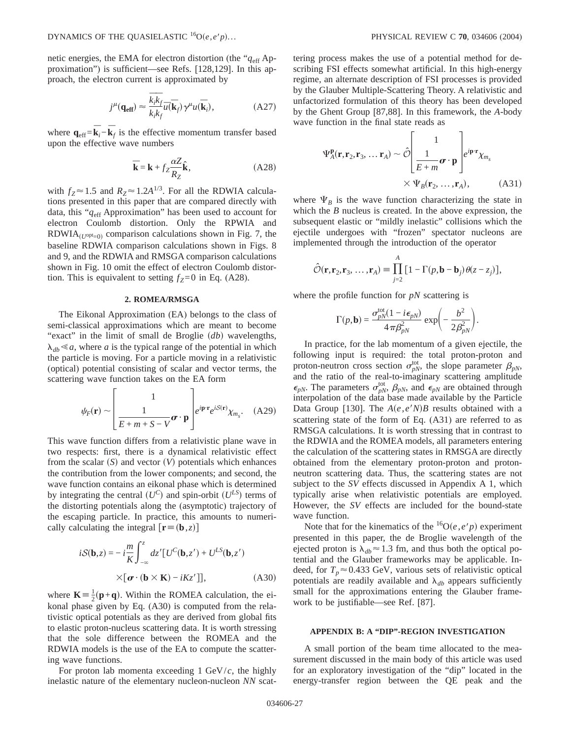netic energies, the EMA for electron distortion (the " $q_{\text{eff}}$  Approximation") is sufficient—see Refs. [128,129]. In this approach, the electron current is approximated by

$$
j^{\mu}(\mathbf{q}_{\mathrm{eff}}) \approx \frac{\overline{k}_{i}\overline{k}_{f}}{k_{i}k_{f}}\overline{u}(\overline{\mathbf{k}}_{f})\gamma^{\mu}u(\overline{\mathbf{k}}_{i}), \qquad (A27)
$$

where  $\mathbf{q}_{\text{eff}} = \overline{\mathbf{k}}_i - \overline{\mathbf{k}}_f$  is the effective momentum transfer based upon the effective wave numbers

$$
\overline{\mathbf{k}} = \mathbf{k} + f_Z \frac{\alpha Z}{R_Z} \hat{\mathbf{k}},
$$
 (A28)

with  $f_Z \approx 1.5$  and  $R_Z \approx 1.2A^{1/3}$ . For all the RDWIA calculations presented in this paper that are compared directly with data, this "*q*eff Approximation" has been used to account for electron Coulomb distortion. Only the RPWIA and RDWIA $_{(U^{opt}=0)}$  comparison calculations shown in Fig. 7, the baseline RDWIA comparison calculations shown in Figs. 8 and 9, and the RDWIA and RMSGA comparison calculations shown in Fig. 10 omit the effect of electron Coulomb distortion. This is equivalent to setting  $f_Z=0$  in Eq. (A28).

### **2. ROMEA/RMSGA**

The Eikonal Approximation (EA) belongs to the class of semi-classical approximations which are meant to become "exact" in the limit of small de Broglie (*db*) wavelengths,  $\lambda_{db} \leq a$ , where *a* is the typical range of the potential in which the particle is moving. For a particle moving in a relativistic (optical) potential consisting of scalar and vector terms, the scattering wave function takes on the EA form

$$
\psi_F(\mathbf{r}) \sim \left[ \frac{1}{E + m + S - V} \boldsymbol{\sigma} \cdot \mathbf{p} \right] e^{i \mathbf{p} \cdot \mathbf{r}} e^{i S(\mathbf{r})} \chi_{m_s}.
$$
 (A29)

This wave function differs from a relativistic plane wave in two respects: first, there is a dynamical relativistic effect from the scalar  $(S)$  and vector  $(V)$  potentials which enhances the contribution from the lower components; and second, the wave function contains an eikonal phase which is determined by integrating the central  $(U^C)$  and spin-orbit  $(U^{LS})$  terms of the distorting potentials along the (asymptotic) trajectory of the escaping particle. In practice, this amounts to numerically calculating the integral  $[\mathbf{r} \equiv (\mathbf{b}, z)]$ 

$$
iS(\mathbf{b},z) = -i\frac{m}{K} \int_{-\infty}^{z} dz' [U^{C}(\mathbf{b},z') + U^{LS}(\mathbf{b},z')\n\times [\boldsymbol{\sigma} \cdot (\mathbf{b} \times \mathbf{K}) - iKz']],
$$
\n(A30)

where  $\mathbf{K} = \frac{1}{2}(\mathbf{p} + \mathbf{q})$ . Within the ROMEA calculation, the eikonal phase given by Eq. (A30) is computed from the relativistic optical potentials as they are derived from global fits to elastic proton-nucleus scattering data. It is worth stressing that the sole difference between the ROMEA and the RDWIA models is the use of the EA to compute the scattering wave functions.

For proton lab momenta exceeding 1 GeV/*c*, the highly inelastic nature of the elementary nucleon-nucleon *NN* scattering process makes the use of a potential method for describing FSI effects somewhat artificial. In this high-energy regime, an alternate description of FSI processes is provided by the Glauber Multiple-Scattering Theory. A relativistic and unfactorized formulation of this theory has been developed by the Ghent Group [87,88]. In this framework, the *A*-body wave function in the final state reads as

$$
\Psi_A^{\mathbf{p}}(\mathbf{r}, \mathbf{r}_2, \mathbf{r}_3, \dots \mathbf{r}_A) \sim \hat{\mathcal{O}} \left[ \frac{1}{E + m} \boldsymbol{\sigma} \cdot \mathbf{p} \right] e^{i \mathbf{p} \cdot \mathbf{r}} \chi_{m_s}
$$
\n
$$
\times \Psi_B(\mathbf{r}_2, \dots, \mathbf{r}_A), \qquad (A31)
$$

where  $\Psi_B$  is the wave function characterizing the state in which the *B* nucleus is created. In the above expression, the subsequent elastic or "mildly inelastic" collisions which the ejectile undergoes with "frozen" spectator nucleons are implemented through the introduction of the operator

$$
\hat{\mathcal{O}}(\mathbf{r}, \mathbf{r}_2, \mathbf{r}_3, \dots, \mathbf{r}_A) \equiv \prod_{j=2}^A \big[1 - \Gamma(p, \mathbf{b} - \mathbf{b}_j) \theta(z - z_j)\big],
$$

where the profile function for *pN* scattering is

$$
\Gamma(p, \mathbf{b}) = \frac{\sigma_{pN}^{\text{tot}}(1 - i\epsilon_{pN})}{4\pi\beta_{pN}^2} \exp\left(-\frac{b^2}{2\beta_{pN}^2}\right).
$$

In practice, for the lab momentum of a given ejectile, the following input is required: the total proton-proton and proton-neutron cross section  $\sigma_{pN}^{\text{tot}}$ , the slope parameter  $\beta_{pN}$ , and the ratio of the real-to-imaginary scattering amplitude  $\epsilon_{pN}$ . The parameters  $\sigma_{pN}^{\text{tot}}$ ,  $\beta_{pN}$ , and  $\epsilon_{pN}$  are obtained through interpolation of the data base made available by the Particle Data Group [130]. The  $A(e, e'N)B$  results obtained with a scattering state of the form of Eq. (A31) are referred to as RMSGA calculations. It is worth stressing that in contrast to the RDWIA and the ROMEA models, all parameters entering the calculation of the scattering states in RMSGA are directly obtained from the elementary proton-proton and protonneutron scattering data. Thus, the scattering states are not subject to the *SV* effects discussed in Appendix A 1, which typically arise when relativistic potentials are employed. However, the *SV* effects are included for the bound-state wave function.

Note that for the kinematics of the  ${}^{16}O(e, e'p)$  experiment presented in this paper, the de Broglie wavelength of the ejected proton is  $\lambda_{db} \approx 1.3$  fm, and thus both the optical potential and the Glauber frameworks may be applicable. Indeed, for  $T_p \approx 0.433$  GeV, various sets of relativistic optical potentials are readily available and  $\lambda_{db}$  appears sufficiently small for the approximations entering the Glauber framework to be justifiable—see Ref. [87].

### **APPENDIX B: A "DIP"-REGION INVESTIGATION**

A small portion of the beam time allocated to the measurement discussed in the main body of this article was used for an exploratory investigation of the "dip" located in the energy-transfer region between the QE peak and the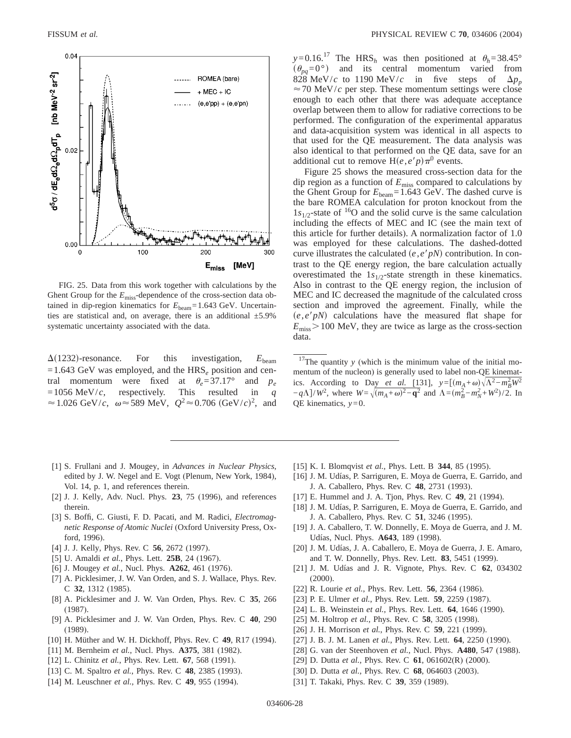

FIG. 25. Data from this work together with calculations by the Ghent Group for the  $E_{\text{miss}}$ -dependence of the cross-section data obtained in dip-region kinematics for  $E_{\text{beam}}$ =1.643 GeV. Uncertainties are statistical and, on average, there is an additional  $\pm$ 5.9% systematic uncertainty associated with the data.

 $\Delta(1232)$ -resonance. For this investigation,  $E_{\text{beam}}$  $=1.643$  GeV was employed, and the HRS<sub>e</sub> position and central momentum were fixed at  $\theta_e = 37.17^\circ$  and  $p_e$  $=1056$  MeV/*c*, respectively. This resulted in *q*  $\approx 1.026 \text{ GeV}/c$ ,  $\omega \approx 589 \text{ MeV}$ ,  $Q^2 \approx 0.706 \text{ (GeV/}c)^2$ , and

- [1] S. Frullani and J. Mougey, in *Advances in Nuclear Physics*, edited by J. W. Negel and E. Vogt (Plenum, New York, 1984), Vol. 14, p. 1, and references therein.
- [2] J. J. Kelly, Adv. Nucl. Phys. **23**, 75 (1996), and references therein.
- [3] S. Boffi, C. Giusti, F. D. Pacati, and M. Radici, *Electromagnetic Response of Atomic Nuclei* (Oxford University Press, Oxford, 1996).
- [4] J. J. Kelly, Phys. Rev. C **56**, 2672 (1997).
- [5] U. Amaldi *et al.*, Phys. Lett. **25B**, 24 (1967).
- [6] J. Mougey *et al.*, Nucl. Phys. **A262**, 461 (1976).
- [7] A. Picklesimer, J. W. Van Orden, and S. J. Wallace, Phys. Rev. C **32**, 1312 (1985).
- [8] A. Picklesimer and J. W. Van Orden, Phys. Rev. C **35**, 266 (1987).
- [9] A. Picklesimer and J. W. Van Orden, Phys. Rev. C **40**, 290 (1989).
- [10] H. Müther and W. H. Dickhoff, Phys. Rev. C **49**, R17 (1994).
- [11] M. Bernheim *et al.*, Nucl. Phys. **A375**, 381 (1982).
- [12] L. Chinitz *et al.*, Phys. Rev. Lett. **67**, 568 (1991).
- [13] C. M. Spaltro *et al.*, Phys. Rev. C **48**, 2385 (1993).
- [14] M. Leuschner *et al.*, Phys. Rev. C **49**, 955 (1994).

 $y=0.16$ <sup>17</sup> The HRS<sub>h</sub> was then positioned at  $\theta_h$ =38.45°  $(\theta_{pa}=0^{\circ})$  and its central momentum varied from 828 MeV/*c* to 1190 MeV/*c* in five steps of  $\Delta p_p$  $\approx$  70 MeV/*c* per step. These momentum settings were close enough to each other that there was adequate acceptance overlap between them to allow for radiative corrections to be performed. The configuration of the experimental apparatus and data-acquisition system was identical in all aspects to that used for the QE measurement. The data analysis was also identical to that performed on the QE data, save for an additional cut to remove  $H(e,e'p)\pi^0$  events.

Figure 25 shows the measured cross-section data for the dip region as a function of *E*miss compared to calculations by the Ghent Group for  $E_{\text{beam}}$ =1.643 GeV. The dashed curve is the bare ROMEA calculation for proton knockout from the  $1s_{1/2}$ -state of <sup>16</sup>O and the solid curve is the same calculation including the effects of MEC and IC (see the main text of this article for further details). A normalization factor of 1.0 was employed for these calculations. The dashed-dotted curve illustrates the calculated  $(e, e'p)$  contribution. In contrast to the QE energy region, the bare calculation actually overestimated the  $1s_{1/2}$ -state strength in these kinematics. Also in contrast to the QE energy region, the inclusion of MEC and IC decreased the magnitude of the calculated cross section and improved the agreement. Finally, while the  $(e, e' p)$  calculations have the measured flat shape for  $E_{\rm miss}$  > 100 MeV, they are twice as large as the cross-section data.

 $17$ The quantity *y* (which is the minimum value of the initial momentum of the nucleon) is generally used to label non-QE kinematics. According to Day *et al.* [131],  $y=[(m_A+\omega)\sqrt{\Lambda^2-m_B^2}W^2]$  $-\frac{q\Lambda}{W^2}$ , where  $W = \sqrt{(m_A + \omega)^2 - q^2}$  and  $\Lambda = (m_B^2 - m_N^2 + W^2)/2$ . In QE kinematics, *y*=0.

- [15] K. I. Blomqvist *et al.*, Phys. Lett. B **344**, 85 (1995).
- [16] J. M. Udías, P. Sarriguren, E. Moya de Guerra, E. Garrido, and J. A. Caballero, Phys. Rev. C **48**, 2731 (1993).
- [17] E. Hummel and J. A. Tjon, Phys. Rev. C **49**, 21 (1994).
- [18] J. M. Udías, P. Sarriguren, E. Moya de Guerra, E. Garrido, and J. A. Caballero, Phys. Rev. C **51**, 3246 (1995).
- [19] J. A. Caballero, T. W. Donnelly, E. Moya de Guerra, and J. M. Udías, Nucl. Phys. **A643**, 189 (1998).
- [20] J. M. Udías, J. A. Caballero, E. Moya de Guerra, J. E. Amaro, and T. W. Donnelly, Phys. Rev. Lett. **83**, 5451 (1999).
- [21] J. M. Udías and J. R. Vignote, Phys. Rev. C **62**, 034302 (2000).
- [22] R. Lourie *et al.*, Phys. Rev. Lett. **56**, 2364 (1986).
- [23] P. E. Ulmer *et al.*, Phys. Rev. Lett. **59**, 2259 (1987).
- [24] L. B. Weinstein *et al.*, Phys. Rev. Lett. **64**, 1646 (1990).
- [25] M. Holtrop *et al.*, Phys. Rev. C **58**, 3205 (1998).
- [26] J. H. Morrison *et al.*, Phys. Rev. C **59**, 221 (1999).
- [27] J. B. J. M. Lanen *et al.*, Phys. Rev. Lett. **64**, 2250 (1990).
- [28] G. van der Steenhoven *et al.*, Nucl. Phys. **A480**, 547 (1988).
- [29] D. Dutta *et al.*, Phys. Rev. C **61**, 061602(R) (2000).
- [30] D. Dutta *et al.*, Phys. Rev. C **68**, 064603 (2003).
- [31] T. Takaki, Phys. Rev. C **39**, 359 (1989).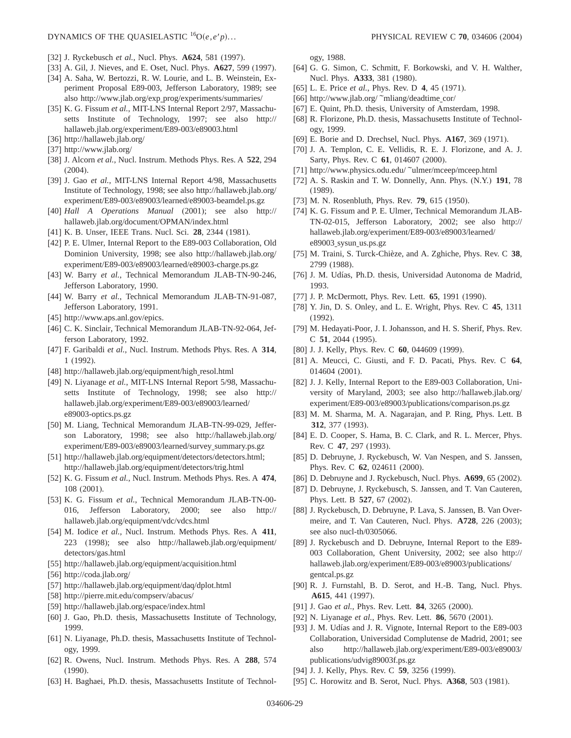- [32] J. Ryckebusch *et al.*, Nucl. Phys. **A624**, 581 (1997).
- [33] A. Gil, J. Nieves, and E. Oset, Nucl. Phys. **A627**, 599 (1997).
- [34] A. Saha, W. Bertozzi, R. W. Lourie, and L. B. Weinstein, Experiment Proposal E89-003, Jefferson Laboratory, 1989; see also http://www.jlab.org/exp prog/experiments/summaries/
- [35] K. G. Fissum *et al.*, MIT-LNS Internal Report 2/97, Massachusetts Institute of Technology, 1997; see also http:// hallaweb.jlab.org/experiment/E89-003/e89003.html
- [36] http://hallaweb.jlab.org/
- [37] http://www.jlab.org/
- [38] J. Alcorn *et al.*, Nucl. Instrum. Methods Phys. Res. A **522**, 294 (2004).
- [39] J. Gao *et al.*, MIT-LNS Internal Report 4/98, Massachusetts Institute of Technology, 1998; see also http://hallaweb.jlab.org/ experiment/E89-003/e89003/learned/e89003-beamdel.ps.gz
- [40] *Hall A Operations Manual* (2001); see also http:// hallaweb.jlab.org/document/OPMAN/index.html
- [41] K. B. Unser, IEEE Trans. Nucl. Sci. **28**, 2344 (1981).
- [42] P. E. Ulmer, Internal Report to the E89-003 Collaboration, Old Dominion University, 1998; see also http://hallaweb.jlab.org/ experiment/E89-003/e89003/learned/e89003-charge.ps.gz
- [43] W. Barry et al., Technical Memorandum JLAB-TN-90-246, Jefferson Laboratory, 1990.
- [44] W. Barry *et al.*, Technical Memorandum JLAB-TN-91-087, Jefferson Laboratory, 1991.
- [45] http://www.aps.anl.gov/epics.
- [46] C. K. Sinclair, Technical Memorandum JLAB-TN-92-064, Jefferson Laboratory, 1992.
- [47] F. Garibaldi *et al.*, Nucl. Instrum. Methods Phys. Res. A **314**, 1 (1992).
- [48] http://hallaweb.jlab.org/equipment/high resol.html
- [49] N. Liyanage *et al.*, MIT-LNS Internal Report 5/98, Massachusetts Institute of Technology, 1998; see also http:// hallaweb.jlab.org/experiment/E89-003/e89003/learned/ e89003-optics.ps.gz
- [50] M. Liang, Technical Memorandum JLAB-TN-99-029, Jefferson Laboratory, 1998; see also http://hallaweb.jlab.org/ experiment/E89-003/e89003/learned/survey\_summary.ps.gz
- [51] http://hallaweb.jlab.org/equipment/detectors/detectors.html; http://hallaweb.jlab.org/equipment/detectors/trig.html
- [52] K. G. Fissum *et al.*, Nucl. Instrum. Methods Phys. Res. A **474**, 108 (2001).
- [53] K. G. Fissum *et al.*, Technical Memorandum JLAB-TN-00- 016, Jefferson Laboratory, 2000; see also http:// hallaweb.jlab.org/equipment/vdc/vdcs.html
- [54] M. Iodice *et al.*, Nucl. Instrum. Methods Phys. Res. A **411**, 223 (1998); see also http://hallaweb.jlab.org/equipment/ detectors/gas.html
- [55] http://hallaweb.jlab.org/equipment/acquisition.html
- [56] http://coda.jlab.org/
- [57] http://hallaweb.jlab.org/equipment/daq/dplot.html
- [58] http://pierre.mit.edu/compserv/abacus/
- [59] http://hallaweb.jlab.org/espace/index.html
- [60] J. Gao, Ph.D. thesis, Massachusetts Institute of Technology, 1999.
- [61] N. Liyanage, Ph.D. thesis, Massachusetts Institute of Technology, 1999.
- [62] R. Owens, Nucl. Instrum. Methods Phys. Res. A **288**, 574 (1990).
- [63] H. Baghaei, Ph.D. thesis, Massachusetts Institute of Technol-

ogy, 1988.

- [64] G. G. Simon, C. Schmitt, F. Borkowski, and V. H. Walther, Nucl. Phys. **A333**, 381 (1980).
- [65] L. E. Price *et al.*, Phys. Rev. D **4**, 45 (1971).
- [66] http://www.jlab.org/ ~mliang/deadtime  $\text{cor}/$
- [67] E. Quint, Ph.D. thesis, University of Amsterdam, 1998.
- [68] R. Florizone, Ph.D. thesis, Massachusetts Institute of Technology, 1999.
- [69] E. Borie and D. Drechsel, Nucl. Phys. **A167**, 369 (1971).
- [70] J. A. Templon, C. E. Vellidis, R. E. J. Florizone, and A. J. Sarty, Phys. Rev. C **61**, 014607 (2000).
- [71] http://www.physics.odu.edu/ ~ulmer/mceep/mceep.html
- [72] A. S. Raskin and T. W. Donnelly, Ann. Phys. (N.Y.) **191**, 78 (1989).
- [73] M. N. Rosenbluth, Phys. Rev. **79**, 615 (1950).
- [74] K. G. Fissum and P. E. Ulmer, Technical Memorandum JLAB-TN-02-015, Jefferson Laboratory, 2002; see also http:// hallaweb.jlab.org/experiment/E89-003/e89003/learned/ e89003\_sysun\_us.ps.gz
- [75] M. Traini, S. Turck-Chièze, and A. Zghiche, Phys. Rev. C **38**, 2799 (1988).
- [76] J. M. Udías, Ph.D. thesis, Universidad Autonoma de Madrid, 1993.
- [77] J. P. McDermott, Phys. Rev. Lett. **65**, 1991 (1990).
- [78] Y. Jin, D. S. Onley, and L. E. Wright, Phys. Rev. C **45**, 1311 (1992).
- [79] M. Hedayati-Poor, J. I. Johansson, and H. S. Sherif, Phys. Rev. C **51**, 2044 (1995).
- [80] J. J. Kelly, Phys. Rev. C **60**, 044609 (1999).
- [81] A. Meucci, C. Giusti, and F. D. Pacati, Phys. Rev. C **64**, 014604 (2001).
- [82] J. J. Kelly, Internal Report to the E89-003 Collaboration, University of Maryland, 2003; see also http://hallaweb.jlab.org/ experiment/E89-003/e89003/publications/comparison.ps.gz
- [83] M. M. Sharma, M. A. Nagarajan, and P. Ring, Phys. Lett. B **312**, 377 (1993).
- [84] E. D. Cooper, S. Hama, B. C. Clark, and R. L. Mercer, Phys. Rev. C **47**, 297 (1993).
- [85] D. Debruyne, J. Ryckebusch, W. Van Nespen, and S. Janssen, Phys. Rev. C **62**, 024611 (2000).
- [86] D. Debruyne and J. Ryckebusch, Nucl. Phys. **A699**, 65 (2002).
- [87] D. Debruyne, J. Ryckebusch, S. Janssen, and T. Van Cauteren, Phys. Lett. B **527**, 67 (2002).
- [88] J. Ryckebusch, D. Debruyne, P. Lava, S. Janssen, B. Van Overmeire, and T. Van Cauteren, Nucl. Phys. **A728**, 226 (2003); see also nucl-th/0305066.
- [89] J. Ryckebusch and D. Debruyne, Internal Report to the E89- 003 Collaboration, Ghent University, 2002; see also http:// hallaweb.jlab.org/experiment/E89-003/e89003/publications/ gentcal.ps.gz
- [90] R. J. Furnstahl, B. D. Serot, and H.-B. Tang, Nucl. Phys. **A615**, 441 (1997).
- [91] J. Gao *et al.*, Phys. Rev. Lett. **84**, 3265 (2000).
- [92] N. Liyanage *et al.*, Phys. Rev. Lett. **86**, 5670 (2001).
- [93] J. M. Udías and J. R. Vignote, Internal Report to the E89-003 Collaboration, Universidad Complutense de Madrid, 2001; see also http://hallaweb.jlab.org/experiment/E89-003/e89003/ publications/udvig89003f.ps.gz
- [94] J. J. Kelly, Phys. Rev. C **59**, 3256 (1999).
- [95] C. Horowitz and B. Serot, Nucl. Phys. **A368**, 503 (1981).